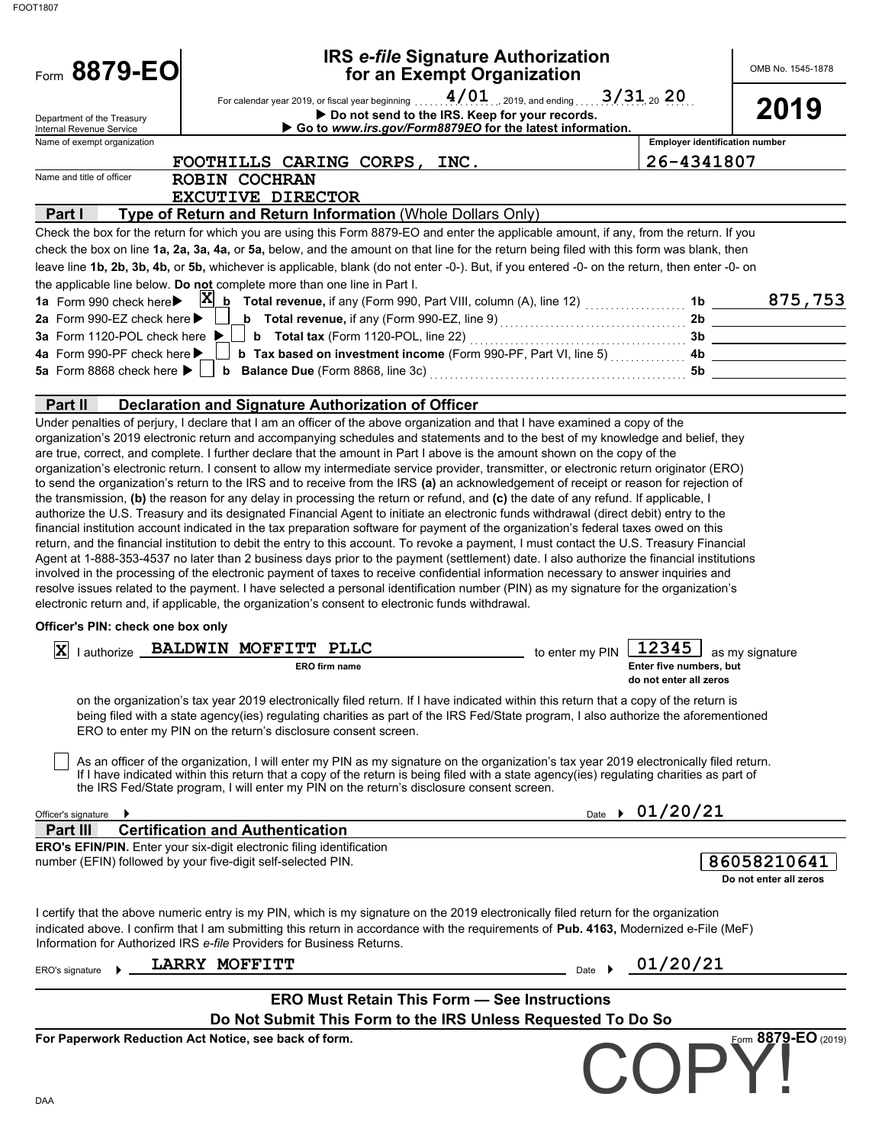| Form 8879-EO                                                                                                                                            | <b>IRS e-file Signature Authorization</b><br>for an Exempt Organization                                                                                                                                                                                                                                                                                                                                                                                                                                                                                                                                                                                                                                                                                                                                                                                                                                                                                                                                                                                                                                                                                                                                                                                                                                                                                                                                                                                                                                                                                                                                                                                  |                                                                               | OMB No. 1545-1878                     |
|---------------------------------------------------------------------------------------------------------------------------------------------------------|----------------------------------------------------------------------------------------------------------------------------------------------------------------------------------------------------------------------------------------------------------------------------------------------------------------------------------------------------------------------------------------------------------------------------------------------------------------------------------------------------------------------------------------------------------------------------------------------------------------------------------------------------------------------------------------------------------------------------------------------------------------------------------------------------------------------------------------------------------------------------------------------------------------------------------------------------------------------------------------------------------------------------------------------------------------------------------------------------------------------------------------------------------------------------------------------------------------------------------------------------------------------------------------------------------------------------------------------------------------------------------------------------------------------------------------------------------------------------------------------------------------------------------------------------------------------------------------------------------------------------------------------------------|-------------------------------------------------------------------------------|---------------------------------------|
| Department of the Treasury                                                                                                                              | For calendar year 2019, or fiscal year beginning<br>Do not send to the IRS. Keep for your records.                                                                                                                                                                                                                                                                                                                                                                                                                                                                                                                                                                                                                                                                                                                                                                                                                                                                                                                                                                                                                                                                                                                                                                                                                                                                                                                                                                                                                                                                                                                                                       | $4/01$ 2019, and ending 3/31 20 20                                            | 2019                                  |
| Internal Revenue Service<br>Name of exempt organization                                                                                                 | Go to www.irs.gov/Form8879EO for the latest information.                                                                                                                                                                                                                                                                                                                                                                                                                                                                                                                                                                                                                                                                                                                                                                                                                                                                                                                                                                                                                                                                                                                                                                                                                                                                                                                                                                                                                                                                                                                                                                                                 |                                                                               | <b>Employer identification number</b> |
|                                                                                                                                                         | FOOTHILLS CARING CORPS,<br>INC.                                                                                                                                                                                                                                                                                                                                                                                                                                                                                                                                                                                                                                                                                                                                                                                                                                                                                                                                                                                                                                                                                                                                                                                                                                                                                                                                                                                                                                                                                                                                                                                                                          | 26-4341807                                                                    |                                       |
| Name and title of officer                                                                                                                               | <b>ROBIN COCHRAN</b>                                                                                                                                                                                                                                                                                                                                                                                                                                                                                                                                                                                                                                                                                                                                                                                                                                                                                                                                                                                                                                                                                                                                                                                                                                                                                                                                                                                                                                                                                                                                                                                                                                     |                                                                               |                                       |
|                                                                                                                                                         | <b>EXCUTIVE DIRECTOR</b>                                                                                                                                                                                                                                                                                                                                                                                                                                                                                                                                                                                                                                                                                                                                                                                                                                                                                                                                                                                                                                                                                                                                                                                                                                                                                                                                                                                                                                                                                                                                                                                                                                 |                                                                               |                                       |
| Part I                                                                                                                                                  | Type of Return and Return Information (Whole Dollars Only)                                                                                                                                                                                                                                                                                                                                                                                                                                                                                                                                                                                                                                                                                                                                                                                                                                                                                                                                                                                                                                                                                                                                                                                                                                                                                                                                                                                                                                                                                                                                                                                               |                                                                               |                                       |
|                                                                                                                                                         | Check the box for the return for which you are using this Form 8879-EO and enter the applicable amount, if any, from the return. If you<br>check the box on line 1a, 2a, 3a, 4a, or 5a, below, and the amount on that line for the return being filed with this form was blank, then<br>leave line 1b, 2b, 3b, 4b, or 5b, whichever is applicable, blank (do not enter -0-). But, if you entered -0- on the return, then enter -0- on<br>the applicable line below. Do not complete more than one line in Part I.                                                                                                                                                                                                                                                                                                                                                                                                                                                                                                                                                                                                                                                                                                                                                                                                                                                                                                                                                                                                                                                                                                                                        |                                                                               |                                       |
| 1a Form 990 check here<br>2a Form 990-EZ check here ▶<br><b>3a</b> Form 1120-POL check here ▶<br>4a Form 990-PF check here<br>5a Form 8868 check here ▶ | $\mathbf{x}$<br>$\underline{\mathbf{b}}$ Total revenue, if any (Form 990, Part VIII, column (A), line 12) $\begin{array}{ccc}\n\vdots \\ \vdots\n\end{array}$<br>b Tax based on investment income (Form 990-PF, Part VI, line 5)  4b                                                                                                                                                                                                                                                                                                                                                                                                                                                                                                                                                                                                                                                                                                                                                                                                                                                                                                                                                                                                                                                                                                                                                                                                                                                                                                                                                                                                                     | 1 <sub>b</sub><br>2 <sub>b</sub>                                              | 875,753                               |
| Part II                                                                                                                                                 | Declaration and Signature Authorization of Officer                                                                                                                                                                                                                                                                                                                                                                                                                                                                                                                                                                                                                                                                                                                                                                                                                                                                                                                                                                                                                                                                                                                                                                                                                                                                                                                                                                                                                                                                                                                                                                                                       |                                                                               |                                       |
| Officer's PIN: check one box only                                                                                                                       | organization's 2019 electronic return and accompanying schedules and statements and to the best of my knowledge and belief, they<br>are true, correct, and complete. I further declare that the amount in Part I above is the amount shown on the copy of the<br>organization's electronic return. I consent to allow my intermediate service provider, transmitter, or electronic return originator (ERO)<br>to send the organization's return to the IRS and to receive from the IRS (a) an acknowledgement of receipt or reason for rejection of<br>the transmission, (b) the reason for any delay in processing the return or refund, and (c) the date of any refund. If applicable, I<br>authorize the U.S. Treasury and its designated Financial Agent to initiate an electronic funds withdrawal (direct debit) entry to the<br>financial institution account indicated in the tax preparation software for payment of the organization's federal taxes owed on this<br>return, and the financial institution to debit the entry to this account. To revoke a payment, I must contact the U.S. Treasury Financial<br>Agent at 1-888-353-4537 no later than 2 business days prior to the payment (settlement) date. I also authorize the financial institutions<br>involved in the processing of the electronic payment of taxes to receive confidential information necessary to answer inquiries and<br>resolve issues related to the payment. I have selected a personal identification number (PIN) as my signature for the organization's<br>electronic return and, if applicable, the organization's consent to electronic funds withdrawal. |                                                                               |                                       |
|                                                                                                                                                         |                                                                                                                                                                                                                                                                                                                                                                                                                                                                                                                                                                                                                                                                                                                                                                                                                                                                                                                                                                                                                                                                                                                                                                                                                                                                                                                                                                                                                                                                                                                                                                                                                                                          |                                                                               |                                       |
| X                                                                                                                                                       | lauthorize BALDWIN MOFFITT PLLC<br>ERO firm name                                                                                                                                                                                                                                                                                                                                                                                                                                                                                                                                                                                                                                                                                                                                                                                                                                                                                                                                                                                                                                                                                                                                                                                                                                                                                                                                                                                                                                                                                                                                                                                                         | 12345<br>to enter my PIN<br>Enter five numbers, but<br>do not enter all zeros | as my signature                       |
|                                                                                                                                                         | on the organization's tax year 2019 electronically filed return. If I have indicated within this return that a copy of the return is<br>being filed with a state agency(ies) regulating charities as part of the IRS Fed/State program, I also authorize the aforementioned<br>ERO to enter my PIN on the return's disclosure consent screen.                                                                                                                                                                                                                                                                                                                                                                                                                                                                                                                                                                                                                                                                                                                                                                                                                                                                                                                                                                                                                                                                                                                                                                                                                                                                                                            |                                                                               |                                       |
|                                                                                                                                                         | As an officer of the organization, I will enter my PIN as my signature on the organization's tax year 2019 electronically filed return.<br>If I have indicated within this return that a copy of the return is being filed with a state agency(ies) regulating charities as part of<br>the IRS Fed/State program, I will enter my PIN on the return's disclosure consent screen.                                                                                                                                                                                                                                                                                                                                                                                                                                                                                                                                                                                                                                                                                                                                                                                                                                                                                                                                                                                                                                                                                                                                                                                                                                                                         |                                                                               |                                       |
| Officer's signature<br>▸                                                                                                                                |                                                                                                                                                                                                                                                                                                                                                                                                                                                                                                                                                                                                                                                                                                                                                                                                                                                                                                                                                                                                                                                                                                                                                                                                                                                                                                                                                                                                                                                                                                                                                                                                                                                          | Date $\rightarrow 01/20/21$                                                   |                                       |
| Part III                                                                                                                                                | <b>Certification and Authentication</b>                                                                                                                                                                                                                                                                                                                                                                                                                                                                                                                                                                                                                                                                                                                                                                                                                                                                                                                                                                                                                                                                                                                                                                                                                                                                                                                                                                                                                                                                                                                                                                                                                  |                                                                               |                                       |
|                                                                                                                                                         | <b>ERO's EFIN/PIN.</b> Enter your six-digit electronic filing identification<br>number (EFIN) followed by your five-digit self-selected PIN.                                                                                                                                                                                                                                                                                                                                                                                                                                                                                                                                                                                                                                                                                                                                                                                                                                                                                                                                                                                                                                                                                                                                                                                                                                                                                                                                                                                                                                                                                                             |                                                                               | 86058210641<br>Do not enter all zeros |
|                                                                                                                                                         | I certify that the above numeric entry is my PIN, which is my signature on the 2019 electronically filed return for the organization<br>indicated above. I confirm that I am submitting this return in accordance with the requirements of Pub. 4163, Modernized e-File (MeF)<br>Information for Authorized IRS e-file Providers for Business Returns.                                                                                                                                                                                                                                                                                                                                                                                                                                                                                                                                                                                                                                                                                                                                                                                                                                                                                                                                                                                                                                                                                                                                                                                                                                                                                                   |                                                                               |                                       |
| ERO's signature                                                                                                                                         | LARRY MOFFITT                                                                                                                                                                                                                                                                                                                                                                                                                                                                                                                                                                                                                                                                                                                                                                                                                                                                                                                                                                                                                                                                                                                                                                                                                                                                                                                                                                                                                                                                                                                                                                                                                                            | Date $\rightarrow$ 01/20/21                                                   |                                       |
|                                                                                                                                                         | <b>ERO Must Retain This Form - See Instructions</b>                                                                                                                                                                                                                                                                                                                                                                                                                                                                                                                                                                                                                                                                                                                                                                                                                                                                                                                                                                                                                                                                                                                                                                                                                                                                                                                                                                                                                                                                                                                                                                                                      |                                                                               |                                       |
|                                                                                                                                                         |                                                                                                                                                                                                                                                                                                                                                                                                                                                                                                                                                                                                                                                                                                                                                                                                                                                                                                                                                                                                                                                                                                                                                                                                                                                                                                                                                                                                                                                                                                                                                                                                                                                          |                                                                               |                                       |
|                                                                                                                                                         | Do Not Submit This Form to the IRS Unless Requested To Do So                                                                                                                                                                                                                                                                                                                                                                                                                                                                                                                                                                                                                                                                                                                                                                                                                                                                                                                                                                                                                                                                                                                                                                                                                                                                                                                                                                                                                                                                                                                                                                                             |                                                                               | Form 8879-EO (2019)                   |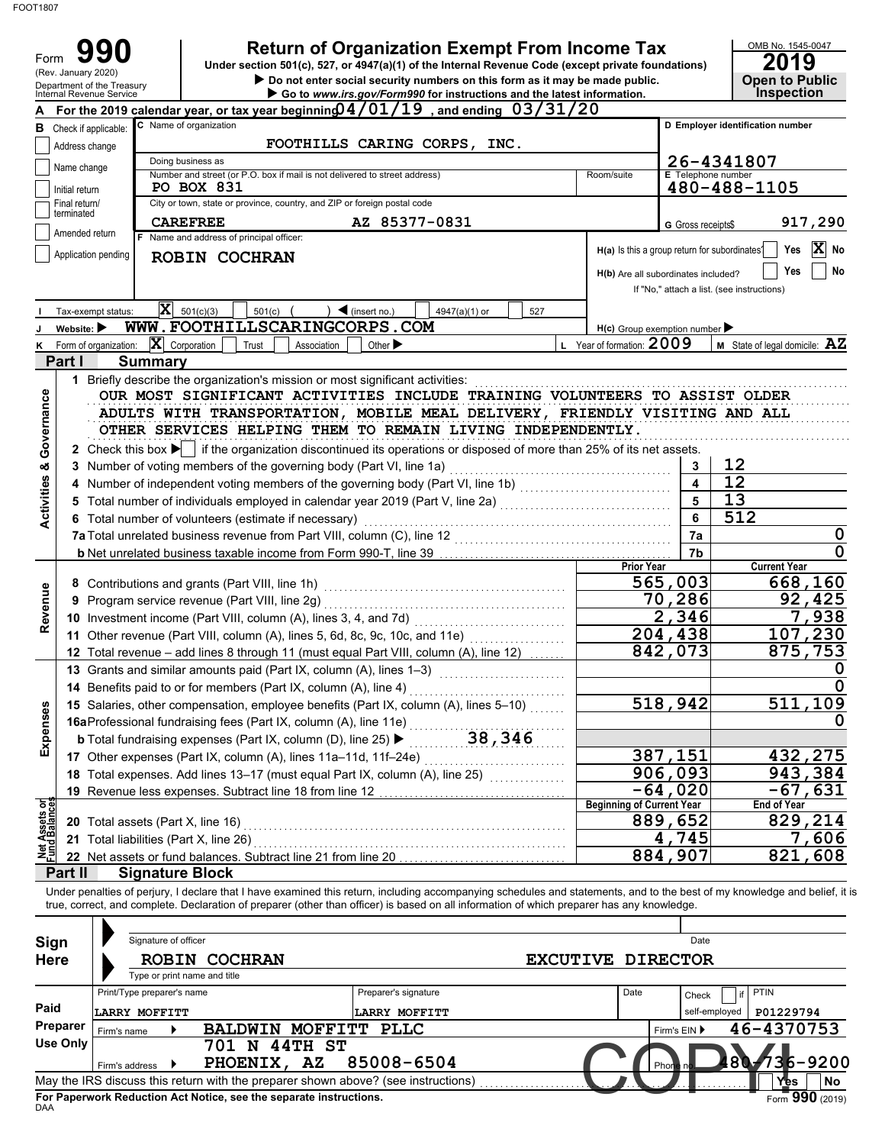| C Name of organization<br><b>B</b> Check if applicable:<br>Address change<br>Doing business as<br>Name change |                                                                               | Under section 501(c), 527, or 4947(a)(1) of the Internal Revenue Code (except private foundations)<br>Do not enter social security numbers on this form as it may be made public.<br>Go to www.irs.gov/Form990 for instructions and the latest information.                          | <b>Return of Organization Exempt From Income Tax</b>                                 |                         | 2019<br><b>Open to Public</b><br><b>Inspection</b>                                  |
|---------------------------------------------------------------------------------------------------------------|-------------------------------------------------------------------------------|--------------------------------------------------------------------------------------------------------------------------------------------------------------------------------------------------------------------------------------------------------------------------------------|--------------------------------------------------------------------------------------|-------------------------|-------------------------------------------------------------------------------------|
|                                                                                                               |                                                                               | For the 2019 calendar year, or tax year beginning $4/01/19$ , and ending $03/31/20$                                                                                                                                                                                                  |                                                                                      |                         |                                                                                     |
|                                                                                                               |                                                                               |                                                                                                                                                                                                                                                                                      |                                                                                      |                         | D Employer identification number                                                    |
|                                                                                                               |                                                                               | FOOTHILLS CARING CORPS, INC.                                                                                                                                                                                                                                                         |                                                                                      |                         |                                                                                     |
|                                                                                                               | Number and street (or P.O. box if mail is not delivered to street address)    |                                                                                                                                                                                                                                                                                      | Room/suite                                                                           | E Telephone number      | 26-4341807                                                                          |
| Initial return                                                                                                | <b>PO BOX 831</b>                                                             |                                                                                                                                                                                                                                                                                      |                                                                                      |                         | 480-488-1105                                                                        |
| Final return/<br>terminated                                                                                   | City or town, state or province, country, and ZIP or foreign postal code      |                                                                                                                                                                                                                                                                                      |                                                                                      |                         |                                                                                     |
| Amended return                                                                                                | <b>CAREFREE</b>                                                               | AZ 85377-0831                                                                                                                                                                                                                                                                        |                                                                                      | G Gross receipts\$      | 917,290                                                                             |
| Application pending                                                                                           | F Name and address of principal officer:<br>ROBIN COCHRAN                     |                                                                                                                                                                                                                                                                                      | H(a) Is this a group return for subordinates?<br>H(b) Are all subordinates included? |                         | $ {\bf X} $<br>Yes<br>No<br>Yes<br>No<br>If "No," attach a list. (see instructions) |
| Tax-exempt status:                                                                                            | $ \mathbf{X} $ 501(c)(3)<br>501(c)                                            | $\big)$ (insert no.)<br>4947(a)(1) or<br>527                                                                                                                                                                                                                                         |                                                                                      |                         |                                                                                     |
| Website: $\blacktriangleright$                                                                                | WWW.FOOTHILLSCARINGCORPS.COM                                                  |                                                                                                                                                                                                                                                                                      | $H(c)$ Group exemption number                                                        |                         |                                                                                     |
| $ \mathbf{X} $ Corporation<br>Form of organization:<br>K.                                                     | Trust<br>Association                                                          | Other $\blacktriangleright$                                                                                                                                                                                                                                                          | L Year of formation: 2009                                                            |                         | <b>M</b> State of legal domicile: $\mathbf{AZ}$                                     |
| Part I<br><b>Summary</b>                                                                                      | 1 Briefly describe the organization's mission or most significant activities: |                                                                                                                                                                                                                                                                                      |                                                                                      |                         |                                                                                     |
| Governance                                                                                                    |                                                                               | ADULTS WITH TRANSPORTATION, MOBILE MEAL DELIVERY, FRIENDLY VISITING AND ALL<br>OTHER SERVICES HELPING THEM TO REMAIN LIVING INDEPENDENTLY.<br>2 Check this box $\blacktriangleright$ if the organization discontinued its operations or disposed of more than 25% of its net assets. |                                                                                      | 3                       | 12                                                                                  |
| <b>Activities &amp;</b>                                                                                       |                                                                               | 4 Number of independent voting members of the governing body (Part VI, line 1b) [[[[[[[[[[[[[[[[[[[[[[[[[[[[[                                                                                                                                                                        |                                                                                      | $\overline{\mathbf{A}}$ | 12                                                                                  |
|                                                                                                               |                                                                               | 5 Total number of individuals employed in calendar year 2019 (Part V, line 2a) [[[[[[[[[[[[[[[[[[[[[[[[[[[[[[                                                                                                                                                                        |                                                                                      | 5                       | 13                                                                                  |
|                                                                                                               | 6 Total number of volunteers (estimate if necessary)                          |                                                                                                                                                                                                                                                                                      |                                                                                      | 6                       | 512                                                                                 |
|                                                                                                               |                                                                               |                                                                                                                                                                                                                                                                                      |                                                                                      | 7a                      | 0<br>0                                                                              |
|                                                                                                               |                                                                               |                                                                                                                                                                                                                                                                                      | <b>Prior Year</b>                                                                    | 7b                      | <b>Current Year</b>                                                                 |
|                                                                                                               |                                                                               |                                                                                                                                                                                                                                                                                      |                                                                                      | 565,003                 | 668,160                                                                             |
| Revenue                                                                                                       | 9 Program service revenue (Part VIII, line 2g)                                |                                                                                                                                                                                                                                                                                      |                                                                                      | 70,286                  | 92,425                                                                              |
|                                                                                                               |                                                                               |                                                                                                                                                                                                                                                                                      |                                                                                      | 2,346                   | 7,938                                                                               |
|                                                                                                               |                                                                               | 11 Other revenue (Part VIII, column (A), lines 5, 6d, 8c, 9c, 10c, and 11e) [[[[[[[[[[[[[[[[[[[[[[[[[[[[[[[[                                                                                                                                                                         |                                                                                      | 204,438                 | 107,230                                                                             |
|                                                                                                               |                                                                               | 12 Total revenue - add lines 8 through 11 (must equal Part VIII, column (A), line 12)                                                                                                                                                                                                |                                                                                      | 842,073                 | 875,753                                                                             |
|                                                                                                               | 13 Grants and similar amounts paid (Part IX, column (A), lines 1-3)           | <u> 1986 - Johann Barbara, m</u>                                                                                                                                                                                                                                                     |                                                                                      |                         |                                                                                     |
|                                                                                                               | 14 Benefits paid to or for members (Part IX, column (A), line 4)              |                                                                                                                                                                                                                                                                                      |                                                                                      | 518,942                 | 511,109                                                                             |
|                                                                                                               | 16aProfessional fundraising fees (Part IX, column (A), line 11e)              | 15 Salaries, other compensation, employee benefits (Part IX, column (A), lines 5-10)                                                                                                                                                                                                 |                                                                                      |                         | 0                                                                                   |
| Expenses                                                                                                      | <b>b</b> Total fundraising expenses (Part IX, column (D), line 25) ▶          | 38,346                                                                                                                                                                                                                                                                               |                                                                                      |                         |                                                                                     |
|                                                                                                               | 17 Other expenses (Part IX, column (A), lines 11a-11d, 11f-24e)               |                                                                                                                                                                                                                                                                                      |                                                                                      | 387,151                 | 432,275                                                                             |
|                                                                                                               |                                                                               | 18 Total expenses. Add lines 13-17 (must equal Part IX, column (A), line 25)                                                                                                                                                                                                         |                                                                                      | 906,093                 | 943,384                                                                             |
|                                                                                                               | 19 Revenue less expenses. Subtract line 18 from line 12                       |                                                                                                                                                                                                                                                                                      |                                                                                      | $\overline{-64}$ , 020  | $-67,631$                                                                           |
|                                                                                                               |                                                                               |                                                                                                                                                                                                                                                                                      | <b>Beginning of Current Year</b>                                                     |                         | <b>End of Year</b>                                                                  |
|                                                                                                               |                                                                               |                                                                                                                                                                                                                                                                                      |                                                                                      |                         |                                                                                     |
| 20 Total assets (Part X, line 16)                                                                             |                                                                               |                                                                                                                                                                                                                                                                                      |                                                                                      | 889,652                 | 829,214                                                                             |
| Assets or<br>d Balances<br>21 Total liabilities (Part X, line 26)<br>ة,                                       | 22 Net assets or fund balances. Subtract line 21 from line 20                 |                                                                                                                                                                                                                                                                                      |                                                                                      | 4,745<br>884,907        | 7,606<br>821,608                                                                    |

| Sign<br><b>Here</b> |                            | Signature of officer | <b>ROBIN COCHRAN</b><br>Type or print name and title                              |                      | EXCUTIVE DIRECTOR |      | Date          |                   |
|---------------------|----------------------------|----------------------|-----------------------------------------------------------------------------------|----------------------|-------------------|------|---------------|-------------------|
|                     | Print/Type preparer's name |                      |                                                                                   | Preparer's signature |                   | Date | Check         | <b>PTIN</b>       |
| Paid                | <b>LARRY MOFFITT</b>       |                      |                                                                                   | <b>LARRY MOFFITT</b> |                   |      | self-employed | P01229794         |
| Preparer            | Firm's name                |                      | MOFFITT<br><b>BALDWIN</b>                                                         | <b>PLLC</b>          |                   |      | Firm's EIN ▶  | 46-4370753        |
| Use Only            | Firm's address             |                      | N<br>44TH ST<br>701<br>$\mathbf{A} \mathbf{Z}$<br>PHOENIX,                        | 85008-6504           |                   |      | Phone no      | $36 - 9200$<br>8Æ |
|                     |                            |                      | May the IRS discuss this return with the preparer shown above? (see instructions) |                      |                   |      |               | <b>No</b><br>Yes  |
| .                   |                            |                      | For Paperwork Reduction Act Notice, see the separate instructions.                |                      |                   |      |               | Form 990 (2019)   |

**For Paperwork Reduction Act Notice, see the separate instructions.**<br><sub>DAA</sub>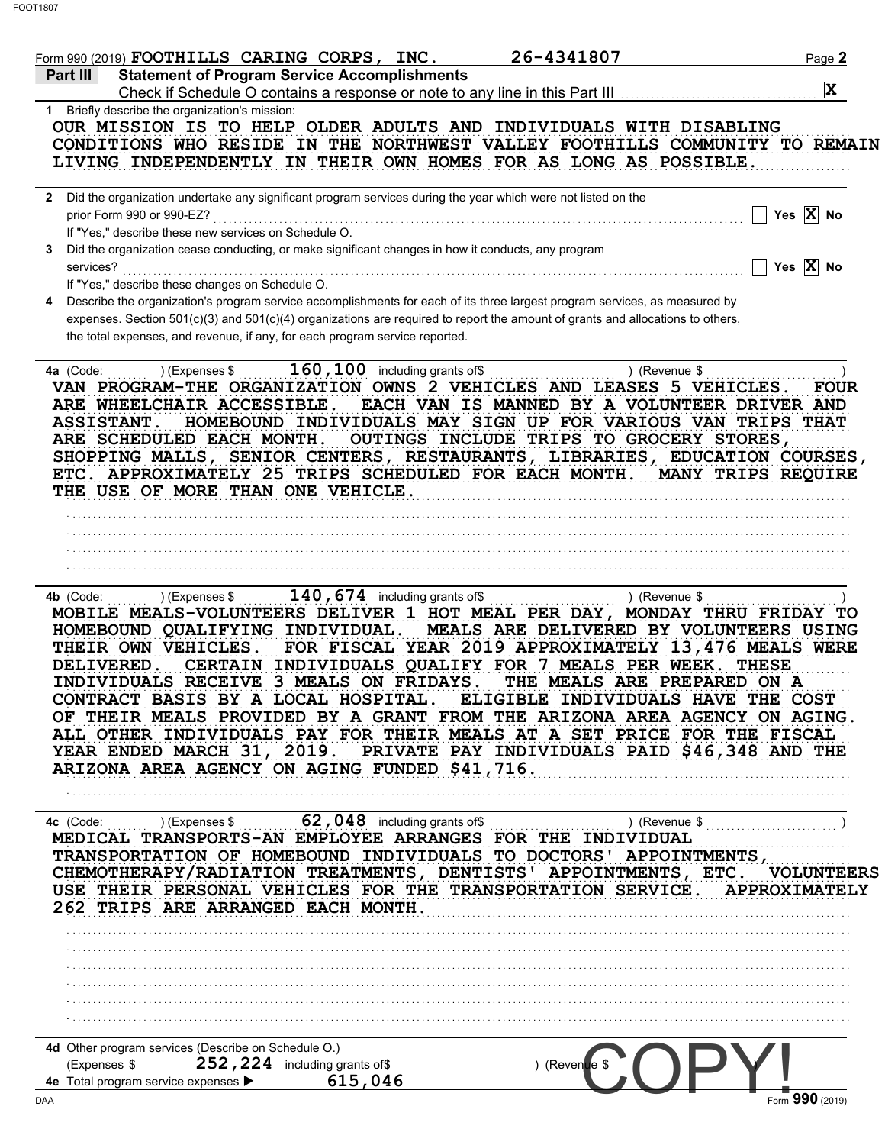| <b>Statement of Program Service Accomplishments</b><br><b>Part III</b><br>Check if Schedule O contains a response or note to any line in this Part III<br>1 Briefly describe the organization's mission:<br>OUR MISSION IS TO HELP OLDER ADULTS AND INDIVIDUALS WITH DISABLING<br>CONDITIONS WHO RESIDE IN THE NORTHWEST VALLEY FOOTHILLS COMMUNITY TO REMAIN<br>LIVING INDEPENDENTLY IN THEIR OWN HOMES FOR AS LONG AS POSSIBLE.<br>2 Did the organization undertake any significant program services during the year which were not listed on the<br>prior Form 990 or 990-EZ?<br>If "Yes," describe these new services on Schedule O.<br>Did the organization cease conducting, or make significant changes in how it conducts, any program<br>3<br>services?<br>If "Yes," describe these changes on Schedule O.<br>Describe the organization's program service accomplishments for each of its three largest program services, as measured by<br>4<br>expenses. Section 501(c)(3) and 501(c)(4) organizations are required to report the amount of grants and allocations to others,<br>the total expenses, and revenue, if any, for each program service reported.<br>$160, 100$ including grants of\$<br>) (Expenses \$<br>4a (Code:<br>VAN PROGRAM-THE ORGANIZATION OWNS 2 VEHICLES AND LEASES 5 VEHICLES.<br>ARE WHEELCHAIR ACCESSIBLE.<br>EACH VAN IS MANNED BY A VOLUNTEER DRIVER AND<br><b>ASSISTANT.</b><br>HOMEBOUND INDIVIDUALS MAY SIGN UP FOR VARIOUS VAN TRIPS THAT<br>OUTINGS INCLUDE TRIPS TO GROCERY STORES,<br>ARE SCHEDULED EACH MONTH.<br>SHOPPING MALLS, SENIOR CENTERS, RESTAURANTS, LIBRARIES, EDUCATION COURSES,<br>ETC. APPROXIMATELY 25 TRIPS SCHEDULED FOR EACH MONTH. MANY TRIPS REQUIRE<br>THE USE OF MORE THAN ONE VEHICLE.<br>$140$ , 674 including grants of\$<br>) (Expenses \$<br>4b (Code:<br>MOBILE MEALS-VOLUNTEERS DELIVER 1 HOT MEAL PER DAY, MONDAY THRU FRIDAY TO<br>HOMEBOUND QUALIFYING INDIVIDUAL.<br>FOR FISCAL YEAR 2019 APPROXIMATELY 13,476 MEALS WERE<br>THEIR OWN VEHICLES.<br>CERTAIN INDIVIDUALS QUALIFY FOR 7 MEALS PER WEEK. THESE<br><b>DELIVERED.</b><br>INDIVIDUALS RECEIVE 3 MEALS ON FRIDAYS.<br>CONTRACT BASIS BY A LOCAL HOSPITAL. ELIGIBLE INDIVIDUALS HAVE THE COST<br>OF THEIR MEALS PROVIDED BY A GRANT FROM THE ARIZONA AREA AGENCY ON AGING.<br>ALL OTHER INDIVIDUALS PAY FOR THEIR MEALS AT A SET PRICE FOR THE FISCAL<br>YEAR ENDED MARCH 31, 2019. PRIVATE PAY INDIVIDUALS PAID \$46,348 AND THE<br>ARIZONA AREA AGENCY ON AGING FUNDED \$41,716.<br>MEDICAL TRANSPORTS-AN EMPLOYEE ARRANGES FOR THE INDIVIDUAL<br>TRANSPORTATION OF HOMEBOUND INDIVIDUALS TO DOCTORS' APPOINTMENTS, |                                                                        | $\mathbf{x}$          |
|---------------------------------------------------------------------------------------------------------------------------------------------------------------------------------------------------------------------------------------------------------------------------------------------------------------------------------------------------------------------------------------------------------------------------------------------------------------------------------------------------------------------------------------------------------------------------------------------------------------------------------------------------------------------------------------------------------------------------------------------------------------------------------------------------------------------------------------------------------------------------------------------------------------------------------------------------------------------------------------------------------------------------------------------------------------------------------------------------------------------------------------------------------------------------------------------------------------------------------------------------------------------------------------------------------------------------------------------------------------------------------------------------------------------------------------------------------------------------------------------------------------------------------------------------------------------------------------------------------------------------------------------------------------------------------------------------------------------------------------------------------------------------------------------------------------------------------------------------------------------------------------------------------------------------------------------------------------------------------------------------------------------------------------------------------------------------------------------------------------------------------------------------------------------------------------------------------------------------------------------------------------------------------------------------------------------------------------------------------------------------------------------------------------------------------------------------------------------------------------------------------------------------------------------------------------------------------------------------------------------------------------------------------------|------------------------------------------------------------------------|-----------------------|
|                                                                                                                                                                                                                                                                                                                                                                                                                                                                                                                                                                                                                                                                                                                                                                                                                                                                                                                                                                                                                                                                                                                                                                                                                                                                                                                                                                                                                                                                                                                                                                                                                                                                                                                                                                                                                                                                                                                                                                                                                                                                                                                                                                                                                                                                                                                                                                                                                                                                                                                                                                                                                                                               |                                                                        |                       |
|                                                                                                                                                                                                                                                                                                                                                                                                                                                                                                                                                                                                                                                                                                                                                                                                                                                                                                                                                                                                                                                                                                                                                                                                                                                                                                                                                                                                                                                                                                                                                                                                                                                                                                                                                                                                                                                                                                                                                                                                                                                                                                                                                                                                                                                                                                                                                                                                                                                                                                                                                                                                                                                               |                                                                        |                       |
|                                                                                                                                                                                                                                                                                                                                                                                                                                                                                                                                                                                                                                                                                                                                                                                                                                                                                                                                                                                                                                                                                                                                                                                                                                                                                                                                                                                                                                                                                                                                                                                                                                                                                                                                                                                                                                                                                                                                                                                                                                                                                                                                                                                                                                                                                                                                                                                                                                                                                                                                                                                                                                                               |                                                                        |                       |
|                                                                                                                                                                                                                                                                                                                                                                                                                                                                                                                                                                                                                                                                                                                                                                                                                                                                                                                                                                                                                                                                                                                                                                                                                                                                                                                                                                                                                                                                                                                                                                                                                                                                                                                                                                                                                                                                                                                                                                                                                                                                                                                                                                                                                                                                                                                                                                                                                                                                                                                                                                                                                                                               |                                                                        | Yes $\overline{X}$ No |
|                                                                                                                                                                                                                                                                                                                                                                                                                                                                                                                                                                                                                                                                                                                                                                                                                                                                                                                                                                                                                                                                                                                                                                                                                                                                                                                                                                                                                                                                                                                                                                                                                                                                                                                                                                                                                                                                                                                                                                                                                                                                                                                                                                                                                                                                                                                                                                                                                                                                                                                                                                                                                                                               |                                                                        | Yes $\overline{X}$ No |
|                                                                                                                                                                                                                                                                                                                                                                                                                                                                                                                                                                                                                                                                                                                                                                                                                                                                                                                                                                                                                                                                                                                                                                                                                                                                                                                                                                                                                                                                                                                                                                                                                                                                                                                                                                                                                                                                                                                                                                                                                                                                                                                                                                                                                                                                                                                                                                                                                                                                                                                                                                                                                                                               |                                                                        |                       |
|                                                                                                                                                                                                                                                                                                                                                                                                                                                                                                                                                                                                                                                                                                                                                                                                                                                                                                                                                                                                                                                                                                                                                                                                                                                                                                                                                                                                                                                                                                                                                                                                                                                                                                                                                                                                                                                                                                                                                                                                                                                                                                                                                                                                                                                                                                                                                                                                                                                                                                                                                                                                                                                               | ) (Revenue \$                                                          | <b>FOUR</b>           |
|                                                                                                                                                                                                                                                                                                                                                                                                                                                                                                                                                                                                                                                                                                                                                                                                                                                                                                                                                                                                                                                                                                                                                                                                                                                                                                                                                                                                                                                                                                                                                                                                                                                                                                                                                                                                                                                                                                                                                                                                                                                                                                                                                                                                                                                                                                                                                                                                                                                                                                                                                                                                                                                               | ) (Revenue \$                                                          |                       |
|                                                                                                                                                                                                                                                                                                                                                                                                                                                                                                                                                                                                                                                                                                                                                                                                                                                                                                                                                                                                                                                                                                                                                                                                                                                                                                                                                                                                                                                                                                                                                                                                                                                                                                                                                                                                                                                                                                                                                                                                                                                                                                                                                                                                                                                                                                                                                                                                                                                                                                                                                                                                                                                               | MEALS ARE DELIVERED BY VOLUNTEERS USING<br>THE MEALS ARE PREPARED ON A |                       |
| CHEMOTHERAPY/RADIATION TREATMENTS, DENTISTS' APPOINTMENTS, ETC. VOLUNTEERS<br>USE THEIR PERSONAL VEHICLES FOR THE TRANSPORTATION SERVICE. APPROXIMATELY<br>262 TRIPS ARE ARRANGED EACH MONTH.                                                                                                                                                                                                                                                                                                                                                                                                                                                                                                                                                                                                                                                                                                                                                                                                                                                                                                                                                                                                                                                                                                                                                                                                                                                                                                                                                                                                                                                                                                                                                                                                                                                                                                                                                                                                                                                                                                                                                                                                                                                                                                                                                                                                                                                                                                                                                                                                                                                                 |                                                                        |                       |
| 4d Other program services (Describe on Schedule O.)<br>252, 224 including grants of\$<br>(Expenses \$<br>$(Reven$ <b>u</b> e \$<br>615,046<br>4e Total program service expenses ▶                                                                                                                                                                                                                                                                                                                                                                                                                                                                                                                                                                                                                                                                                                                                                                                                                                                                                                                                                                                                                                                                                                                                                                                                                                                                                                                                                                                                                                                                                                                                                                                                                                                                                                                                                                                                                                                                                                                                                                                                                                                                                                                                                                                                                                                                                                                                                                                                                                                                             |                                                                        |                       |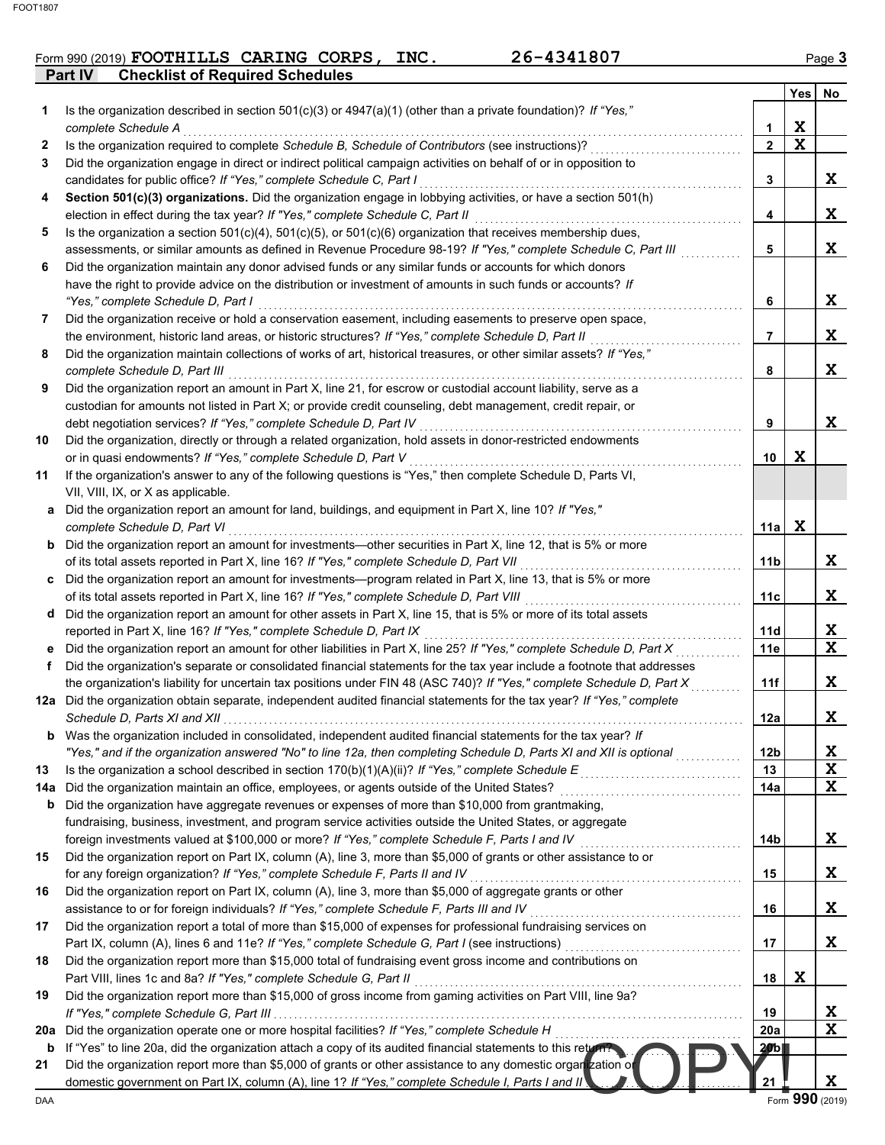## Form 990 (2019) **FOOTHILLS CARING CORPS, INC.** 26-4341807 Page 3

**Part IV Checklist of Required Schedules**

|           |                                                                                                                                                                                                                             |                 | <b>Yes</b>  | No               |
|-----------|-----------------------------------------------------------------------------------------------------------------------------------------------------------------------------------------------------------------------------|-----------------|-------------|------------------|
| 1         | Is the organization described in section $501(c)(3)$ or $4947(a)(1)$ (other than a private foundation)? If "Yes,"                                                                                                           |                 |             |                  |
|           | complete Schedule A                                                                                                                                                                                                         | 1               | X           |                  |
| 2         | Is the organization required to complete Schedule B, Schedule of Contributors (see instructions)?                                                                                                                           | $\overline{2}$  | $\mathbf X$ |                  |
| 3         | Did the organization engage in direct or indirect political campaign activities on behalf of or in opposition to                                                                                                            |                 |             |                  |
|           | candidates for public office? If "Yes," complete Schedule C, Part I                                                                                                                                                         | 3               |             | X                |
| 4         | Section 501(c)(3) organizations. Did the organization engage in lobbying activities, or have a section 501(h)                                                                                                               |                 |             | X                |
| 5         | election in effect during the tax year? If "Yes," complete Schedule C, Part II<br>Is the organization a section $501(c)(4)$ , $501(c)(5)$ , or $501(c)(6)$ organization that receives membership dues,                      | 4               |             |                  |
|           | assessments, or similar amounts as defined in Revenue Procedure 98-19? If "Yes," complete Schedule C, Part III                                                                                                              | 5               |             | X                |
| 6         | Did the organization maintain any donor advised funds or any similar funds or accounts for which donors                                                                                                                     |                 |             |                  |
|           | have the right to provide advice on the distribution or investment of amounts in such funds or accounts? If                                                                                                                 |                 |             |                  |
|           | "Yes," complete Schedule D, Part I                                                                                                                                                                                          | 6               |             | X                |
| 7         | Did the organization receive or hold a conservation easement, including easements to preserve open space,                                                                                                                   |                 |             |                  |
|           | the environment, historic land areas, or historic structures? If "Yes," complete Schedule D, Part II                                                                                                                        | 7               |             | X                |
| 8         | Did the organization maintain collections of works of art, historical treasures, or other similar assets? If "Yes,"                                                                                                         |                 |             |                  |
|           | complete Schedule D, Part III                                                                                                                                                                                               | 8               |             | X                |
| 9         | Did the organization report an amount in Part X, line 21, for escrow or custodial account liability, serve as a                                                                                                             |                 |             |                  |
|           | custodian for amounts not listed in Part X; or provide credit counseling, debt management, credit repair, or                                                                                                                |                 |             |                  |
|           | debt negotiation services? If "Yes," complete Schedule D, Part IV                                                                                                                                                           | 9               |             | X                |
| 10        | Did the organization, directly or through a related organization, hold assets in donor-restricted endowments                                                                                                                |                 |             |                  |
|           | or in quasi endowments? If "Yes," complete Schedule D, Part V                                                                                                                                                               | 10              | X           |                  |
| 11        | If the organization's answer to any of the following questions is "Yes," then complete Schedule D, Parts VI,                                                                                                                |                 |             |                  |
|           | VII, VIII, IX, or X as applicable.<br>a Did the organization report an amount for land, buildings, and equipment in Part X, line 10? If "Yes,"                                                                              |                 |             |                  |
|           | complete Schedule D, Part VI                                                                                                                                                                                                | 11a             | X           |                  |
|           | <b>b</b> Did the organization report an amount for investments-other securities in Part X, line 12, that is 5% or more                                                                                                      |                 |             |                  |
|           | of its total assets reported in Part X, line 16? If "Yes," complete Schedule D, Part VII                                                                                                                                    | 11b             |             | X                |
|           | c Did the organization report an amount for investments—program related in Part X, line 13, that is 5% or more                                                                                                              |                 |             |                  |
|           | of its total assets reported in Part X, line 16? If "Yes," complete Schedule D, Part VIII                                                                                                                                   | 11c             |             | X                |
|           | d Did the organization report an amount for other assets in Part X, line 15, that is 5% or more of its total assets                                                                                                         |                 |             |                  |
|           | reported in Part X, line 16? If "Yes," complete Schedule D, Part IX                                                                                                                                                         | 11d             |             | X                |
|           | e Did the organization report an amount for other liabilities in Part X, line 25? If "Yes," complete Schedule D, Part X                                                                                                     | 11e             |             | $\mathbf x$      |
| f         | Did the organization's separate or consolidated financial statements for the tax year include a footnote that addresses                                                                                                     |                 |             |                  |
|           | the organization's liability for uncertain tax positions under FIN 48 (ASC 740)? If "Yes," complete Schedule D, Part X                                                                                                      | 11f             |             | X                |
|           | 12a Did the organization obtain separate, independent audited financial statements for the tax year? If "Yes," complete                                                                                                     |                 |             |                  |
|           |                                                                                                                                                                                                                             | 12a             |             | X                |
|           | <b>b</b> Was the organization included in consolidated, independent audited financial statements for the tax year? If                                                                                                       |                 |             |                  |
|           | "Yes," and if the organization answered "No" to line 12a, then completing Schedule D, Parts XI and XII is optional                                                                                                          | 12 <sub>b</sub> |             | X<br>X           |
| 13<br>14a | Is the organization a school described in section $170(b)(1)(A)(ii)?$ If "Yes," complete Schedule E<br>Did the organization maintain an office, employees, or agents outside of the United States?                          | 13<br>14a       |             | X                |
| b         | Did the organization have aggregate revenues or expenses of more than \$10,000 from grantmaking,                                                                                                                            |                 |             |                  |
|           | fundraising, business, investment, and program service activities outside the United States, or aggregate                                                                                                                   |                 |             |                  |
|           | foreign investments valued at \$100,000 or more? If "Yes," complete Schedule F, Parts I and IV                                                                                                                              | 14 <sub>b</sub> |             | X                |
| 15        | Did the organization report on Part IX, column (A), line 3, more than \$5,000 of grants or other assistance to or                                                                                                           |                 |             |                  |
|           | for any foreign organization? If "Yes," complete Schedule F, Parts II and IV                                                                                                                                                | 15              |             | X                |
| 16        | Did the organization report on Part IX, column (A), line 3, more than \$5,000 of aggregate grants or other                                                                                                                  |                 |             |                  |
|           | assistance to or for foreign individuals? If "Yes," complete Schedule F, Parts III and IV                                                                                                                                   | 16              |             | X                |
| 17        | Did the organization report a total of more than \$15,000 of expenses for professional fundraising services on                                                                                                              |                 |             |                  |
|           | Part IX, column (A), lines 6 and 11e? If "Yes," complete Schedule G, Part I (see instructions)                                                                                                                              | 17              |             | Χ                |
| 18        | Did the organization report more than \$15,000 total of fundraising event gross income and contributions on                                                                                                                 |                 |             |                  |
|           | Part VIII, lines 1c and 8a? If "Yes," complete Schedule G, Part II                                                                                                                                                          | 18              | X           |                  |
| 19        | Did the organization report more than \$15,000 of gross income from gaming activities on Part VIII, line 9a?                                                                                                                |                 |             |                  |
|           |                                                                                                                                                                                                                             | 19              |             | X<br>$\mathbf x$ |
| 20a       | Did the organization operate one or more hospital facilities? If "Yes," complete Schedule H                                                                                                                                 | 20a             |             |                  |
| b<br>21   | If "Yes" to line 20a, did the organization attach a copy of its audited financial statements to this return?<br>Did the organization report more than \$5,000 of grants or other assistance to any domestic organization of | 20 b j          |             |                  |
|           | domestic government on Part IX, column (A), line 1? If "Yes," complete Schedule I, Parts I and II!                                                                                                                          | 21              |             | X                |
| DAA       |                                                                                                                                                                                                                             |                 |             | Form 990 (2019)  |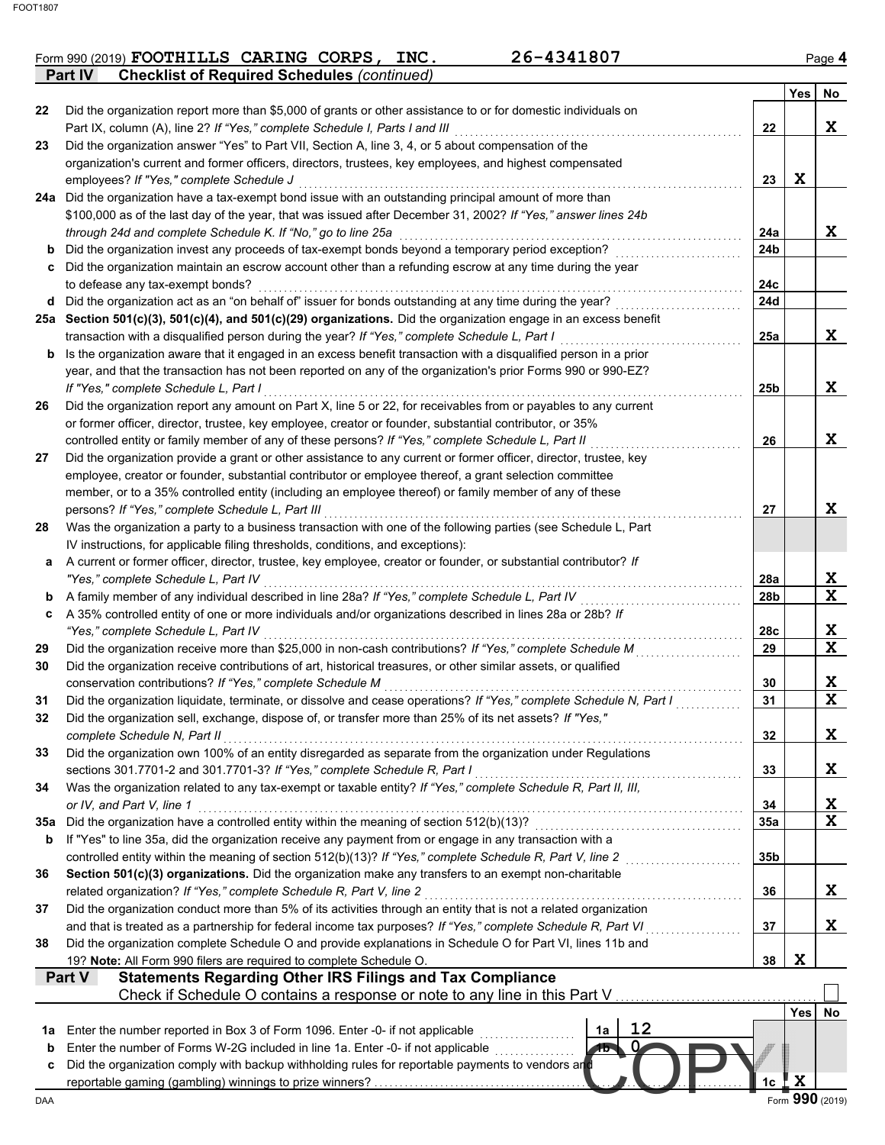|                | Form 990 (2019) FOOTHILLS CARING CORPS,            |  | INC. | 26-4341807 | Page 4 |
|----------------|----------------------------------------------------|--|------|------------|--------|
| <b>Part IV</b> | <b>Checklist of Required Schedules (continued)</b> |  |      |            |        |

|     |                                                                                                                                                                                                                   |                | <b>Yes</b> | No              |
|-----|-------------------------------------------------------------------------------------------------------------------------------------------------------------------------------------------------------------------|----------------|------------|-----------------|
| 22  | Did the organization report more than \$5,000 of grants or other assistance to or for domestic individuals on                                                                                                     |                |            |                 |
|     | Part IX, column (A), line 2? If "Yes," complete Schedule I, Parts I and III                                                                                                                                       | 22             |            | X               |
| 23  | Did the organization answer "Yes" to Part VII, Section A, line 3, 4, or 5 about compensation of the                                                                                                               |                |            |                 |
|     | organization's current and former officers, directors, trustees, key employees, and highest compensated                                                                                                           |                |            |                 |
|     | employees? If "Yes," complete Schedule J                                                                                                                                                                          | 23             | X          |                 |
|     | 24a Did the organization have a tax-exempt bond issue with an outstanding principal amount of more than                                                                                                           |                |            |                 |
|     | \$100,000 as of the last day of the year, that was issued after December 31, 2002? If "Yes," answer lines 24b                                                                                                     |                |            |                 |
|     | through 24d and complete Schedule K. If "No," go to line 25a                                                                                                                                                      | 24a            |            | X               |
| b   | Did the organization invest any proceeds of tax-exempt bonds beyond a temporary period exception?                                                                                                                 | 24b            |            |                 |
| c   | Did the organization maintain an escrow account other than a refunding escrow at any time during the year                                                                                                         |                |            |                 |
|     | to defease any tax-exempt bonds?                                                                                                                                                                                  | 24c            |            |                 |
| d   | Did the organization act as an "on behalf of" issuer for bonds outstanding at any time during the year?                                                                                                           | 24d            |            |                 |
|     | 25a Section 501(c)(3), 501(c)(4), and 501(c)(29) organizations. Did the organization engage in an excess benefit<br>transaction with a disqualified person during the year? If "Yes," complete Schedule L, Part I | 25a            |            | X.              |
| b   | Is the organization aware that it engaged in an excess benefit transaction with a disqualified person in a prior                                                                                                  |                |            |                 |
|     | year, and that the transaction has not been reported on any of the organization's prior Forms 990 or 990-EZ?                                                                                                      |                |            |                 |
|     | If "Yes." complete Schedule L. Part I                                                                                                                                                                             | 25b            |            | X               |
| 26  | Did the organization report any amount on Part X, line 5 or 22, for receivables from or payables to any current                                                                                                   |                |            |                 |
|     | or former officer, director, trustee, key employee, creator or founder, substantial contributor, or 35%                                                                                                           |                |            |                 |
|     | controlled entity or family member of any of these persons? If "Yes," complete Schedule L, Part II                                                                                                                | 26             |            | X               |
| 27  | Did the organization provide a grant or other assistance to any current or former officer, director, trustee, key                                                                                                 |                |            |                 |
|     | employee, creator or founder, substantial contributor or employee thereof, a grant selection committee                                                                                                            |                |            |                 |
|     | member, or to a 35% controlled entity (including an employee thereof) or family member of any of these                                                                                                            |                |            |                 |
|     | persons? If "Yes," complete Schedule L, Part III                                                                                                                                                                  | 27             |            | X               |
| 28  | Was the organization a party to a business transaction with one of the following parties (see Schedule L, Part                                                                                                    |                |            |                 |
|     | IV instructions, for applicable filing thresholds, conditions, and exceptions):                                                                                                                                   |                |            |                 |
| a   | A current or former officer, director, trustee, key employee, creator or founder, or substantial contributor? If                                                                                                  |                |            |                 |
|     | "Yes," complete Schedule L, Part IV                                                                                                                                                                               | 28a            |            | X               |
| b   | A family member of any individual described in line 28a? If "Yes," complete Schedule L, Part IV                                                                                                                   | 28b            |            | X               |
| c   | A 35% controlled entity of one or more individuals and/or organizations described in lines 28a or 28b? If                                                                                                         |                |            |                 |
|     | "Yes," complete Schedule L, Part IV                                                                                                                                                                               | 28c            |            | X               |
| 29  | Did the organization receive more than \$25,000 in non-cash contributions? If "Yes," complete Schedule M                                                                                                          | 29             |            | X               |
| 30  | Did the organization receive contributions of art, historical treasures, or other similar assets, or qualified                                                                                                    |                |            |                 |
| 31  | conservation contributions? If "Yes," complete Schedule M<br>Did the organization liquidate, terminate, or dissolve and cease operations? If "Yes," complete Schedule N, Part I                                   | 30<br>31       |            | X<br>X          |
| 32  | Did the organization sell, exchange, dispose of, or transfer more than 25% of its net assets? If "Yes,"                                                                                                           |                |            |                 |
|     | complete Schedule N, Part II                                                                                                                                                                                      | 32             |            | X               |
| 33  | Did the organization own 100% of an entity disregarded as separate from the organization under Regulations                                                                                                        |                |            |                 |
|     | sections 301.7701-2 and 301.7701-3? If "Yes," complete Schedule R, Part I                                                                                                                                         | 33             |            | X.              |
| 34  | Was the organization related to any tax-exempt or taxable entity? If "Yes," complete Schedule R, Part II, III,                                                                                                    |                |            |                 |
|     | or IV, and Part V, line 1                                                                                                                                                                                         | 34             |            | X               |
| 35а | Did the organization have a controlled entity within the meaning of section 512(b)(13)?                                                                                                                           | 35a            |            | X               |
| b   | If "Yes" to line 35a, did the organization receive any payment from or engage in any transaction with a                                                                                                           |                |            |                 |
|     | controlled entity within the meaning of section 512(b)(13)? If "Yes," complete Schedule R, Part V, line 2                                                                                                         | 35b            |            |                 |
| 36  | Section 501(c)(3) organizations. Did the organization make any transfers to an exempt non-charitable                                                                                                              |                |            |                 |
|     | related organization? If "Yes," complete Schedule R, Part V, line 2                                                                                                                                               | 36             |            | X.              |
| 37  | Did the organization conduct more than 5% of its activities through an entity that is not a related organization                                                                                                  |                |            |                 |
|     | and that is treated as a partnership for federal income tax purposes? If "Yes," complete Schedule R, Part VI                                                                                                      | 37             |            | X.              |
| 38  | Did the organization complete Schedule O and provide explanations in Schedule O for Part VI, lines 11b and                                                                                                        |                |            |                 |
|     | 19? Note: All Form 990 filers are required to complete Schedule O.                                                                                                                                                | 38             | X          |                 |
|     | <b>Statements Regarding Other IRS Filings and Tax Compliance</b><br>Part V                                                                                                                                        |                |            |                 |
|     | Check if Schedule O contains a response or note to any line in this Part V                                                                                                                                        |                |            |                 |
|     |                                                                                                                                                                                                                   |                | Yes        | No              |
| 1a  | 12<br>Enter the number reported in Box 3 of Form 1096. Enter -0- if not applicable<br>1a                                                                                                                          |                |            |                 |
| b   | Enter the number of Forms W-2G included in line 1a. Enter -0- if not applicable<br>0<br>15                                                                                                                        |                |            |                 |
| c   | Did the organization comply with backup withholding rules for reportable payments to vendors and                                                                                                                  | 1 <sub>c</sub> | X          |                 |
| DAA |                                                                                                                                                                                                                   |                |            | Form 990 (2019) |
|     |                                                                                                                                                                                                                   |                |            |                 |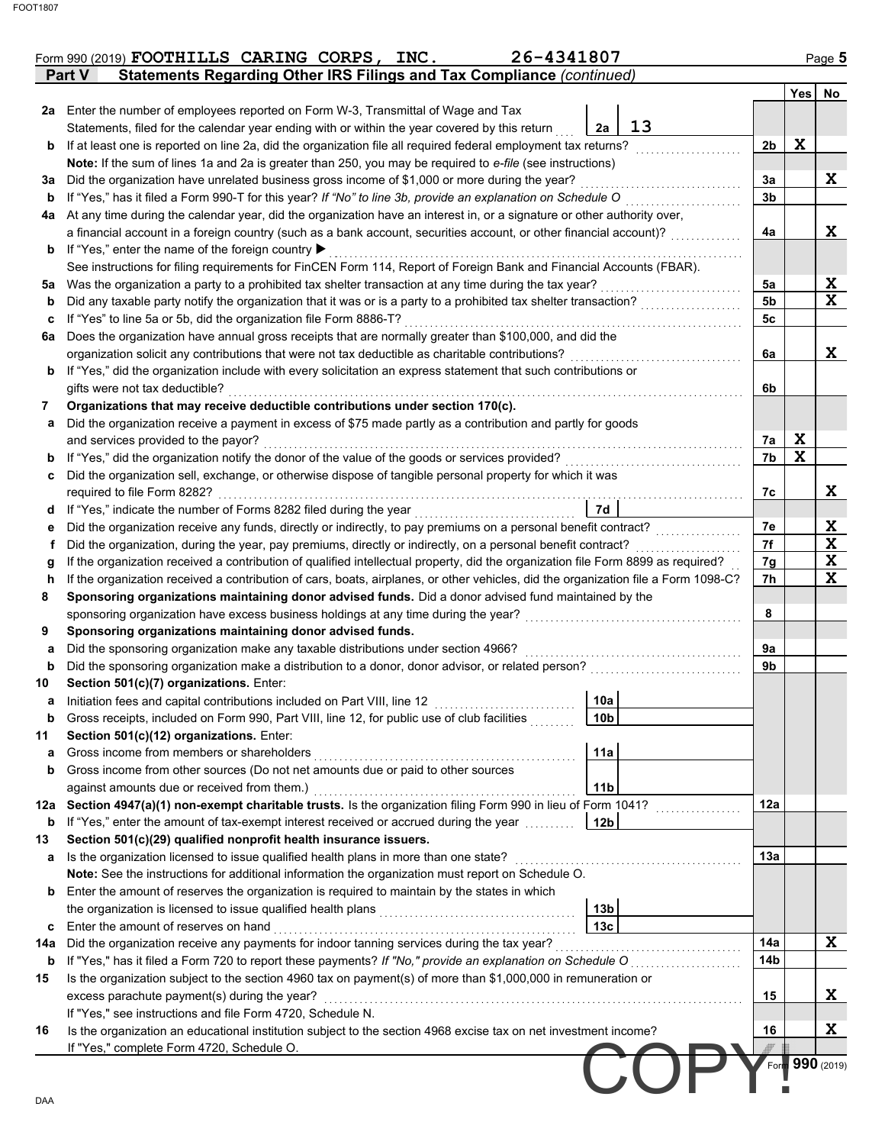| Page 5      |                | 26-4341807<br>Form 990 (2019) FOOTHILLS CARING CORPS, INC.                                                                         |                                                   |     |
|-------------|----------------|------------------------------------------------------------------------------------------------------------------------------------|---------------------------------------------------|-----|
| Yes         |                | Statements Regarding Other IRS Filings and Tax Compliance (continued)                                                              | Part V                                            |     |
|             |                | 2a Enter the number of employees reported on Form W-3, Transmittal of Wage and Tax                                                 |                                                   |     |
|             |                | 13<br>Statements, filed for the calendar year ending with or within the year covered by this return<br>2a                          |                                                   |     |
| $\mathbf X$ | 2 <sub>b</sub> | If at least one is reported on line 2a, did the organization file all required federal employment tax returns?                     |                                                   | b   |
|             |                | Note: If the sum of lines 1a and 2a is greater than 250, you may be required to e-file (see instructions)                          |                                                   |     |
|             | 3a             | Did the organization have unrelated business gross income of \$1,000 or more during the year?                                      |                                                   | За  |
|             | 3 <sub>b</sub> | If "Yes," has it filed a Form 990-T for this year? If "No" to line 3b, provide an explanation on Schedule O                        |                                                   | b   |
|             |                | At any time during the calendar year, did the organization have an interest in, or a signature or other authority over,            |                                                   | 4a  |
|             | 4a             | a financial account in a foreign country (such as a bank account, securities account, or other financial account)?                 |                                                   |     |
|             |                |                                                                                                                                    | If "Yes," enter the name of the foreign country ▶ | b   |
|             |                | See instructions for filing requirements for FinCEN Form 114, Report of Foreign Bank and Financial Accounts (FBAR).                |                                                   |     |
|             | 5a             |                                                                                                                                    |                                                   | 5a  |
|             | 5 <sub>b</sub> |                                                                                                                                    |                                                   | b   |
|             | 5c             | If "Yes" to line 5a or 5b, did the organization file Form 8886-T?                                                                  |                                                   | c   |
|             |                | Does the organization have annual gross receipts that are normally greater than \$100,000, and did the                             |                                                   | 6a  |
|             | 6a             | organization solicit any contributions that were not tax deductible as charitable contributions?                                   |                                                   |     |
|             |                | If "Yes," did the organization include with every solicitation an express statement that such contributions or                     |                                                   | b   |
|             | 6b             |                                                                                                                                    | gifts were not tax deductible?                    |     |
|             |                | Organizations that may receive deductible contributions under section 170(c).                                                      |                                                   |     |
|             |                | Did the organization receive a payment in excess of \$75 made partly as a contribution and partly for goods                        |                                                   | a   |
| X           | 7a             |                                                                                                                                    | and services provided to the payor?               |     |
| $\mathbf x$ | 7b             |                                                                                                                                    |                                                   | b   |
|             |                | Did the organization sell, exchange, or otherwise dispose of tangible personal property for which it was                           |                                                   | C   |
|             | 7c             |                                                                                                                                    | required to file Form 8282?                       |     |
|             |                | 7d<br>If "Yes," indicate the number of Forms 8282 filed during the year<br>[[[[[[[[[[[[[[]]]]]                                     |                                                   | d   |
|             | 7e             |                                                                                                                                    |                                                   | е   |
|             | 7f             | Did the organization, during the year, pay premiums, directly or indirectly, on a personal benefit contract?                       |                                                   | f   |
|             | 7g             | If the organization received a contribution of qualified intellectual property, did the organization file Form 8899 as required?   |                                                   | g   |
|             | 7h             | If the organization received a contribution of cars, boats, airplanes, or other vehicles, did the organization file a Form 1098-C? |                                                   | h   |
|             |                | Sponsoring organizations maintaining donor advised funds. Did a donor advised fund maintained by the                               |                                                   | 8   |
|             | 8              | sponsoring organization have excess business holdings at any time during the year?                                                 |                                                   |     |
|             |                | Sponsoring organizations maintaining donor advised funds.                                                                          |                                                   | 9   |
|             | 9a             | Did the sponsoring organization make any taxable distributions under section 4966?                                                 |                                                   | а   |
|             | 9 <sub>b</sub> | Did the sponsoring organization make a distribution to a donor, donor advisor, or related person?                                  |                                                   | b   |
|             |                |                                                                                                                                    | Section 501(c)(7) organizations. Enter:           | 10  |
|             |                | 10a                                                                                                                                |                                                   | а   |
|             |                | Gross receipts, included on Form 990, Part VIII, line 12, for public use of club facilities<br>10b                                 |                                                   | b   |
|             |                |                                                                                                                                    | Section 501(c)(12) organizations. Enter:          |     |
|             |                | 11a                                                                                                                                |                                                   | a   |
|             |                | Gross income from other sources (Do not net amounts due or paid to other sources                                                   |                                                   | b   |
|             |                | 11 <sub>b</sub>                                                                                                                    | against amounts due or received from them.)       |     |
|             | 12a            | 12a Section 4947(a)(1) non-exempt charitable trusts. Is the organization filing Form 990 in lieu of Form 1041?                     |                                                   |     |
|             |                | If "Yes," enter the amount of tax-exempt interest received or accrued during the year<br>12b                                       |                                                   | b   |
|             |                | Section 501(c)(29) qualified nonprofit health insurance issuers.                                                                   |                                                   |     |
|             | 13a            | Is the organization licensed to issue qualified health plans in more than one state?                                               |                                                   | а   |
|             |                | Note: See the instructions for additional information the organization must report on Schedule O.                                  |                                                   |     |
|             |                | Enter the amount of reserves the organization is required to maintain by the states in which                                       |                                                   | b   |
|             |                | 13 <sub>b</sub>                                                                                                                    |                                                   |     |
|             |                | 13 <sub>c</sub>                                                                                                                    | Enter the amount of reserves on hand              | c   |
|             | 14a            |                                                                                                                                    |                                                   | 14a |
|             | 14b            |                                                                                                                                    |                                                   | b   |
|             |                | Is the organization subject to the section 4960 tax on payment(s) of more than \$1,000,000 in remuneration or                      |                                                   |     |
|             | 15             |                                                                                                                                    | excess parachute payment(s) during the year?      |     |
|             |                | If "Yes," see instructions and file Form 4720, Schedule N.                                                                         |                                                   |     |
|             | 16             | Is the organization an educational institution subject to the section 4968 excise tax on net investment income?                    |                                                   | 16  |
|             |                |                                                                                                                                    |                                                   |     |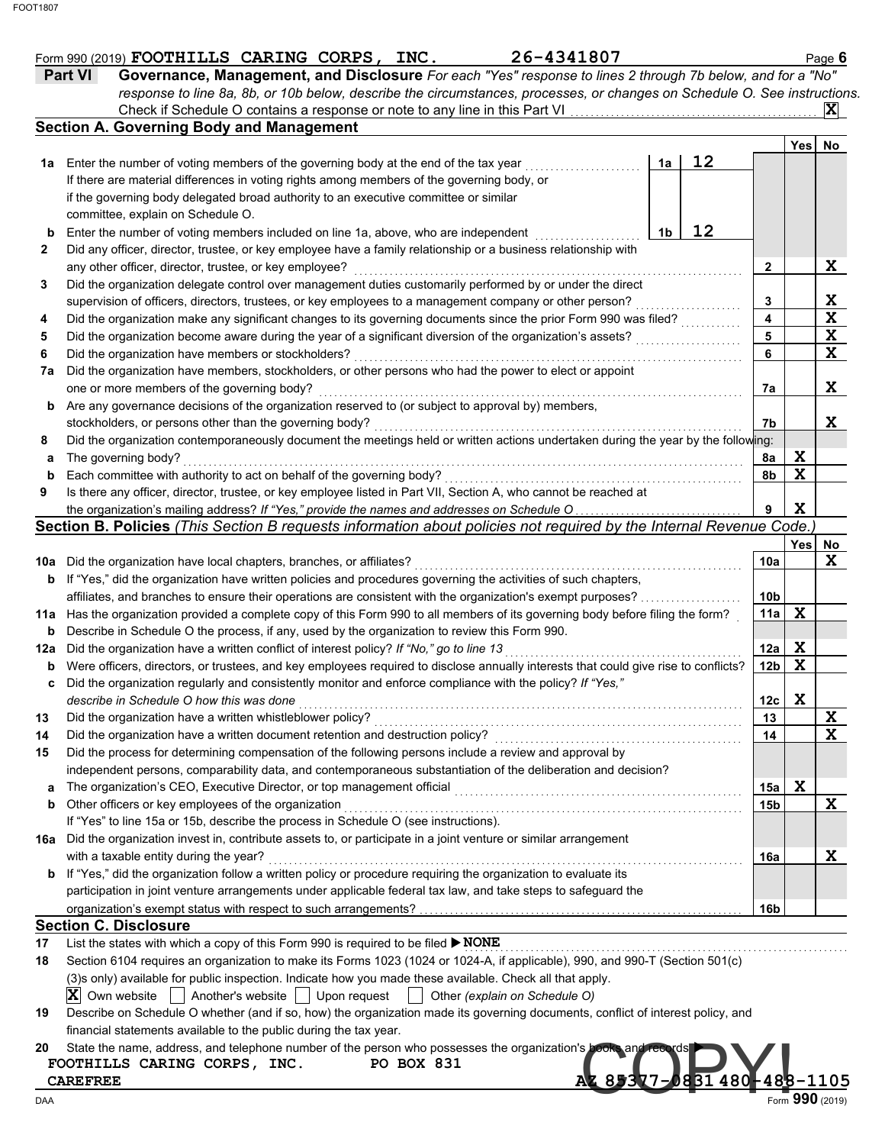|        | 26-4341807<br>Form 990 (2019) FOOTHILLS CARING CORPS, INC.                                                                                                                                           |                         |             | Page 6      |
|--------|------------------------------------------------------------------------------------------------------------------------------------------------------------------------------------------------------|-------------------------|-------------|-------------|
|        | Governance, Management, and Disclosure For each "Yes" response to lines 2 through 7b below, and for a "No"<br><b>Part VI</b>                                                                         |                         |             |             |
|        | response to line 8a, 8b, or 10b below, describe the circumstances, processes, or changes on Schedule O. See instructions.                                                                            |                         |             |             |
|        | Check if Schedule O contains a response or note to any line in this Part VI                                                                                                                          |                         |             | $ {\bf X} $ |
|        | <b>Section A. Governing Body and Management</b>                                                                                                                                                      |                         |             |             |
|        | 12                                                                                                                                                                                                   |                         | Yes         | No          |
|        | 1a Enter the number of voting members of the governing body at the end of the tax year<br>1a                                                                                                         |                         |             |             |
|        | If there are material differences in voting rights among members of the governing body, or<br>if the governing body delegated broad authority to an executive committee or similar                   |                         |             |             |
|        | committee, explain on Schedule O.                                                                                                                                                                    |                         |             |             |
|        | 12<br>1b                                                                                                                                                                                             |                         |             |             |
| b<br>2 | Enter the number of voting members included on line 1a, above, who are independent<br>Did any officer, director, trustee, or key employee have a family relationship or a business relationship with |                         |             |             |
|        | any other officer, director, trustee, or key employee?                                                                                                                                               | 2                       |             | X           |
| 3      | Did the organization delegate control over management duties customarily performed by or under the direct                                                                                            |                         |             |             |
|        | supervision of officers, directors, trustees, or key employees to a management company or other person?                                                                                              | 3                       |             | X           |
| 4      | Did the organization make any significant changes to its governing documents since the prior Form 990 was filed?                                                                                     | $\overline{\mathbf{4}}$ |             | X           |
| 5      | Did the organization become aware during the year of a significant diversion of the organization's assets?                                                                                           | 5                       |             | X           |
| 6      | Did the organization have members or stockholders?                                                                                                                                                   | 6                       |             | X           |
| 7a     | Did the organization have members, stockholders, or other persons who had the power to elect or appoint                                                                                              |                         |             |             |
|        | one or more members of the governing body?                                                                                                                                                           | 7a                      |             | X           |
| b      | Are any governance decisions of the organization reserved to (or subject to approval by) members,                                                                                                    |                         |             |             |
|        | stockholders, or persons other than the governing body?                                                                                                                                              | 7b                      |             | X           |
| 8      | Did the organization contemporaneously document the meetings held or written actions undertaken during the year by the following:                                                                    |                         |             |             |
| а      | The governing body?                                                                                                                                                                                  | 8a                      | X           |             |
| b      | Each committee with authority to act on behalf of the governing body?                                                                                                                                | 8b                      | $\mathbf X$ |             |
| 9      | Is there any officer, director, trustee, or key employee listed in Part VII, Section A, who cannot be reached at                                                                                     |                         |             |             |
|        | the organization's mailing address? If "Yes," provide the names and addresses on Schedule O                                                                                                          | 9                       | $\mathbf x$ |             |
|        | Section B. Policies (This Section B requests information about policies not required by the Internal Revenue Code.)                                                                                  |                         |             |             |
|        |                                                                                                                                                                                                      |                         | Yes         | No.         |
|        | 10a Did the organization have local chapters, branches, or affiliates?                                                                                                                               | 10a                     |             | X           |
|        | <b>b</b> If "Yes," did the organization have written policies and procedures governing the activities of such chapters,                                                                              |                         |             |             |
|        | affiliates, and branches to ensure their operations are consistent with the organization's exempt purposes?                                                                                          | 10 <sub>b</sub>         |             |             |
|        | 11a Has the organization provided a complete copy of this Form 990 to all members of its governing body before filing the form?                                                                      | 11a                     | X           |             |
| b      | Describe in Schedule O the process, if any, used by the organization to review this Form 990.                                                                                                        |                         |             |             |
| 12a    | Did the organization have a written conflict of interest policy? If "No," go to line 13                                                                                                              | 12a                     | X           |             |
| b      | Were officers, directors, or trustees, and key employees required to disclose annually interests that could give rise to conflicts?                                                                  | 12 <sub>b</sub>         | $\mathbf x$ |             |
| c      | Did the organization regularly and consistently monitor and enforce compliance with the policy? If "Yes,"                                                                                            |                         |             |             |
|        | describe in Schedule O how this was done                                                                                                                                                             | 12c                     | X           |             |
| 13     | Did the organization have a written whistleblower policy?                                                                                                                                            | 13                      |             | X           |
| 14     | Did the organization have a written document retention and destruction policy?                                                                                                                       | 14                      |             | X           |
| 15     | Did the process for determining compensation of the following persons include a review and approval by                                                                                               |                         |             |             |
|        | independent persons, comparability data, and contemporaneous substantiation of the deliberation and decision?                                                                                        |                         |             |             |
| a      | The organization's CEO, Executive Director, or top management official                                                                                                                               | 15a                     | X           |             |
| b      | Other officers or key employees of the organization                                                                                                                                                  | 15b                     |             | X           |
|        | If "Yes" to line 15a or 15b, describe the process in Schedule O (see instructions).                                                                                                                  |                         |             |             |
|        | 16a Did the organization invest in, contribute assets to, or participate in a joint venture or similar arrangement                                                                                   |                         |             |             |
|        | with a taxable entity during the year?                                                                                                                                                               | 16a                     |             | X           |
|        | <b>b</b> If "Yes," did the organization follow a written policy or procedure requiring the organization to evaluate its                                                                              |                         |             |             |
|        | participation in joint venture arrangements under applicable federal tax law, and take steps to safeguard the                                                                                        |                         |             |             |
|        |                                                                                                                                                                                                      | 16b                     |             |             |
|        | <b>Section C. Disclosure</b>                                                                                                                                                                         |                         |             |             |
| 17     | List the states with which a copy of this Form 990 is required to be filed ▶ NONE                                                                                                                    |                         |             |             |
| 18     | Section 6104 requires an organization to make its Forms 1023 (1024 or 1024-A, if applicable), 990, and 990-T (Section 501(c)                                                                         |                         |             |             |
|        | (3)s only) available for public inspection. Indicate how you made these available. Check all that apply.                                                                                             |                         |             |             |
|        | $ X $ Own website<br>Another's website $\vert \ \vert$ Upon request<br>Other (explain on Schedule O)                                                                                                 |                         |             |             |
| 19     | Describe on Schedule O whether (and if so, how) the organization made its governing documents, conflict of interest policy, and                                                                      |                         |             |             |
|        | financial statements available to the public during the tax year.                                                                                                                                    |                         |             |             |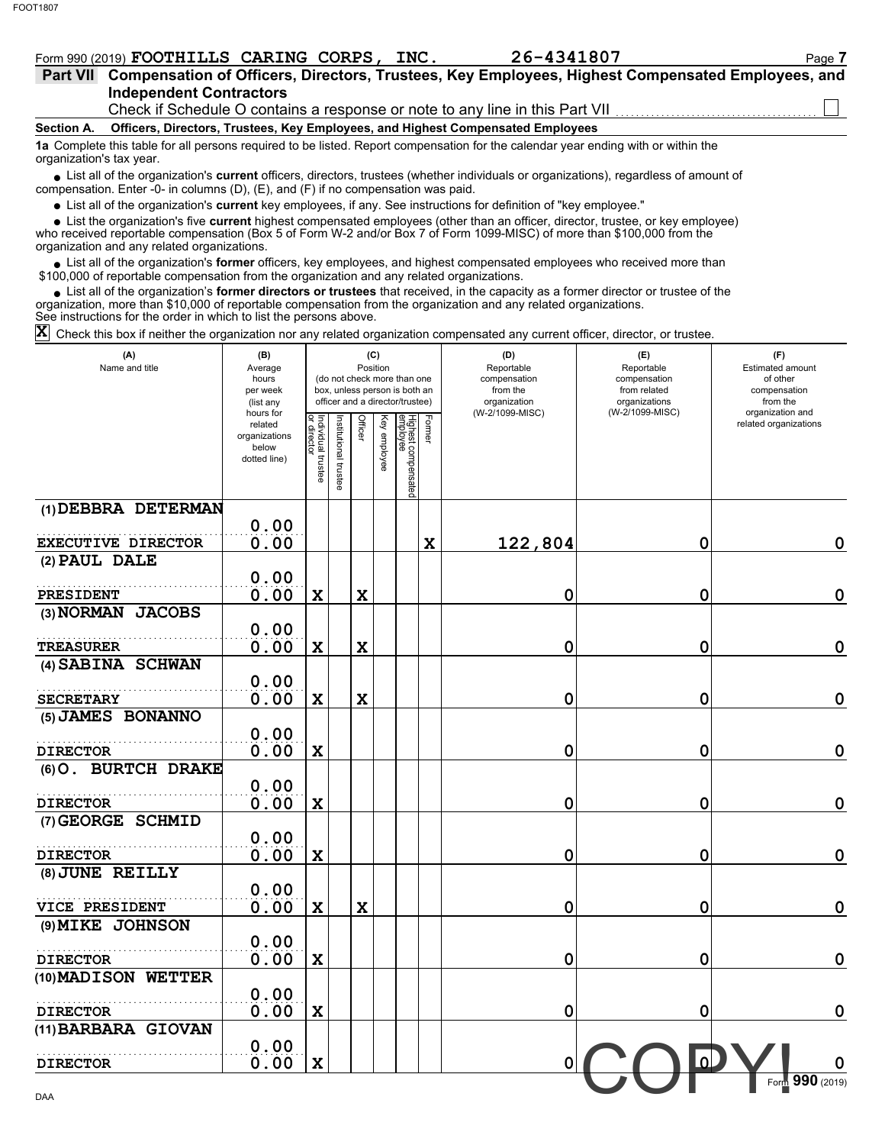## Form 990 (2019) **FOOTHILLS CARING CORPS, INC.** 26-4341807 Page 7

|                          | Part VII Compensation of Officers, Directors, Trustees, Key Employees, Highest Compensated Employees, and                                                                                                                   |
|--------------------------|-----------------------------------------------------------------------------------------------------------------------------------------------------------------------------------------------------------------------------|
|                          | <b>Independent Contractors</b>                                                                                                                                                                                              |
|                          |                                                                                                                                                                                                                             |
| Section A.               | Officers, Directors, Trustees, Key Employees, and Highest Compensated Employees                                                                                                                                             |
| organization's tax year. | 1a Complete this table for all persons required to be listed. Report compensation for the calendar year ending with or within the                                                                                           |
|                          | • List all of the organization's current officers, directors, trustees (whether individuals or organizations), regardless of amount of<br>compensation. Enter -0- in columns (D), (E), and (F) if no compensation was paid. |

List all of the organization's **current** key employees, if any. See instructions for definition of "key employee."

who received reportable compensation (Box 5 of Form W-2 and/or Box 7 of Form 1099-MISC) of more than \$100,000 from the organization and any related organizations. ■ List all of the organization's **current** key employees, if any. See instructions for definition of "key employee."<br>■ List the organization's five **current** highest compensated employees (other than an officer, director,

• List all of the organization's **former** officers, key employees, and highest compensated employees who received more than<br>00,000 of reportable compensation from the organization and any related erganizations. \$100,000 of reportable compensation from the organization and any related organizations.

List all of the organization's **former directors or trustees** that received, in the capacity as a former director or trustee of the • List all of the organization's **former directors or trustees** that received, in the capacity as a former director organization, more than \$10,000 of reportable compensation from the organization and any related organizat See instructions for the order in which to list the persons above.

 $\bar{\bm{\mathsf{X}}}$  Check this box if neither the organization nor any related organization compensated any current officer, director, or trustee.

| (A)<br>Name and title     | (B)<br>Average<br>hours<br>per week<br>(list any               |                                   |                       | (C)<br>Position |              | (do not check more than one<br>box, unless person is both an<br>officer and a director/trustee) |        | (D)<br>Reportable<br>compensation<br>from the<br>organization | (E)<br>Reportable<br>compensation<br>from related<br>organizations | (F)<br>Estimated amount<br>of other<br>compensation<br>from the |
|---------------------------|----------------------------------------------------------------|-----------------------------------|-----------------------|-----------------|--------------|-------------------------------------------------------------------------------------------------|--------|---------------------------------------------------------------|--------------------------------------------------------------------|-----------------------------------------------------------------|
|                           | hours for<br>related<br>organizations<br>below<br>dotted line) | Individual trustee<br>or director | Institutional trustee | <b>Officer</b>  | Key employee | Highest compensated<br>employee                                                                 | Former | (W-2/1099-MISC)                                               | (W-2/1099-MISC)                                                    | organization and<br>related organizations                       |
| (1) DEBBRA DETERMAN       |                                                                |                                   |                       |                 |              |                                                                                                 |        |                                                               |                                                                    |                                                                 |
|                           | 0.00                                                           |                                   |                       |                 |              |                                                                                                 |        |                                                               |                                                                    |                                                                 |
| <b>EXECUTIVE DIRECTOR</b> | 0.00                                                           |                                   |                       |                 |              |                                                                                                 | X      | 122,804                                                       | 0                                                                  | $\mathbf 0$                                                     |
| (2) PAUL DALE             |                                                                |                                   |                       |                 |              |                                                                                                 |        |                                                               |                                                                    |                                                                 |
| <b>PRESIDENT</b>          | 0.00<br>0.00                                                   | X                                 |                       | X               |              |                                                                                                 |        | 0                                                             | 0                                                                  | $\mathbf 0$                                                     |
| (3) NORMAN JACOBS         |                                                                |                                   |                       |                 |              |                                                                                                 |        |                                                               |                                                                    |                                                                 |
|                           | 0.00                                                           |                                   |                       |                 |              |                                                                                                 |        |                                                               |                                                                    |                                                                 |
| <b>TREASURER</b>          | 0.00                                                           | X                                 |                       | $\mathbf x$     |              |                                                                                                 |        | 0                                                             | 0                                                                  | $\mathbf 0$                                                     |
| (4) SABINA SCHWAN         |                                                                |                                   |                       |                 |              |                                                                                                 |        |                                                               |                                                                    |                                                                 |
|                           | 0.00                                                           |                                   |                       |                 |              |                                                                                                 |        |                                                               |                                                                    |                                                                 |
| <b>SECRETARY</b>          | 0.00                                                           | X                                 |                       | $\mathbf x$     |              |                                                                                                 |        | 0                                                             | 0                                                                  | $\mathbf 0$                                                     |
| (5) JAMES BONANNO         |                                                                |                                   |                       |                 |              |                                                                                                 |        |                                                               |                                                                    |                                                                 |
|                           | 0.00                                                           |                                   |                       |                 |              |                                                                                                 |        |                                                               |                                                                    |                                                                 |
| <b>DIRECTOR</b>           | 0.00                                                           | X                                 |                       |                 |              |                                                                                                 |        | 0                                                             | 0                                                                  | $\mathbf 0$                                                     |
| (6) O. BURTCH DRAKE       |                                                                |                                   |                       |                 |              |                                                                                                 |        |                                                               |                                                                    |                                                                 |
|                           | 0.00                                                           |                                   |                       |                 |              |                                                                                                 |        |                                                               |                                                                    |                                                                 |
| <b>DIRECTOR</b>           | 0.00                                                           | X                                 |                       |                 |              |                                                                                                 |        | 0                                                             | 0                                                                  | $\mathbf 0$                                                     |
| (7) GEORGE SCHMID         |                                                                |                                   |                       |                 |              |                                                                                                 |        |                                                               |                                                                    |                                                                 |
| <b>DIRECTOR</b>           | 0.00<br>0.00                                                   | X                                 |                       |                 |              |                                                                                                 |        |                                                               | 0                                                                  | $\mathbf 0$                                                     |
| (8) JUNE REILLY           |                                                                |                                   |                       |                 |              |                                                                                                 |        | 0                                                             |                                                                    |                                                                 |
|                           | 0.00                                                           |                                   |                       |                 |              |                                                                                                 |        |                                                               |                                                                    |                                                                 |
| VICE PRESIDENT            | 0.00                                                           | X                                 |                       | X               |              |                                                                                                 |        | 0                                                             | 0                                                                  | $\mathbf 0$                                                     |
| (9) MIKE JOHNSON          |                                                                |                                   |                       |                 |              |                                                                                                 |        |                                                               |                                                                    |                                                                 |
|                           | 0.00                                                           |                                   |                       |                 |              |                                                                                                 |        |                                                               |                                                                    |                                                                 |
| <b>DIRECTOR</b>           | 0.00                                                           | X                                 |                       |                 |              |                                                                                                 |        | 0                                                             | 0                                                                  | $\mathbf 0$                                                     |
| (10) MADISON WETTER       |                                                                |                                   |                       |                 |              |                                                                                                 |        |                                                               |                                                                    |                                                                 |
|                           | 0.00                                                           |                                   |                       |                 |              |                                                                                                 |        |                                                               |                                                                    |                                                                 |
| <b>DIRECTOR</b>           | 0.00                                                           | X                                 |                       |                 |              |                                                                                                 |        | 0                                                             | 0                                                                  | $\mathbf 0$                                                     |
| (11) BARBARA GIOVAN       |                                                                |                                   |                       |                 |              |                                                                                                 |        |                                                               |                                                                    |                                                                 |
|                           | 0.00                                                           |                                   |                       |                 |              |                                                                                                 |        |                                                               | $\overline{\omega}$                                                |                                                                 |
| <b>DIRECTOR</b>           | 0.00                                                           | X                                 |                       |                 |              |                                                                                                 |        | 0                                                             |                                                                    | $\mathbf 0$                                                     |
| DAA                       |                                                                |                                   |                       |                 |              |                                                                                                 |        |                                                               |                                                                    | Form 990 (2019)                                                 |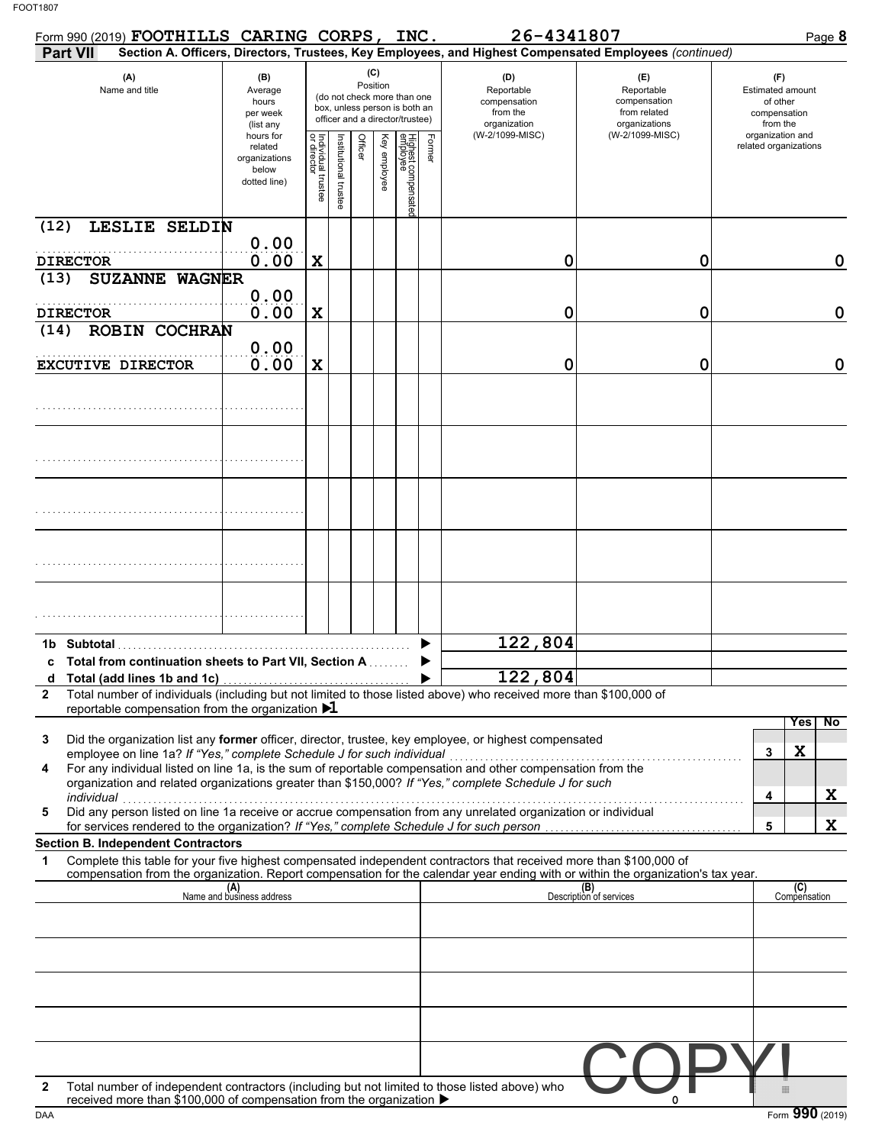|                 | Form 990 (2019) FOOTHILLS CARING CORPS, INC.                           |                                                                |                                   |                       |                                                                                                                    |              |                                 |        | 26-4341807                                                                                                                                                                                                                                             |                                                                    | Page 8                                                          |
|-----------------|------------------------------------------------------------------------|----------------------------------------------------------------|-----------------------------------|-----------------------|--------------------------------------------------------------------------------------------------------------------|--------------|---------------------------------|--------|--------------------------------------------------------------------------------------------------------------------------------------------------------------------------------------------------------------------------------------------------------|--------------------------------------------------------------------|-----------------------------------------------------------------|
| <b>Part VII</b> |                                                                        |                                                                |                                   |                       |                                                                                                                    |              |                                 |        | Section A. Officers, Directors, Trustees, Key Employees, and Highest Compensated Employees (continued)                                                                                                                                                 |                                                                    |                                                                 |
|                 | (A)<br>Name and title                                                  |                                                                |                                   |                       | (C)<br>Position<br>(do not check more than one<br>box, unless person is both an<br>officer and a director/trustee) |              |                                 |        | (D)<br>Reportable<br>compensation<br>from the<br>organization                                                                                                                                                                                          | (E)<br>Reportable<br>compensation<br>from related<br>organizations | (F)<br>Estimated amount<br>of other<br>compensation<br>from the |
|                 |                                                                        | hours for<br>related<br>organizations<br>below<br>dotted line) | Individual trustee<br>or director | Institutional trustee | Officer                                                                                                            | Key employee | Highest compensatec<br>employee | Former | (W-2/1099-MISC)                                                                                                                                                                                                                                        | (W-2/1099-MISC)                                                    | organization and<br>related organizations                       |
| (12)            | LESLIE SELDIN                                                          | 0.00                                                           |                                   |                       |                                                                                                                    |              |                                 |        |                                                                                                                                                                                                                                                        |                                                                    |                                                                 |
| <b>DIRECTOR</b> |                                                                        | 0.00                                                           | X                                 |                       |                                                                                                                    |              |                                 |        | 0                                                                                                                                                                                                                                                      | 0                                                                  | 0                                                               |
| (13)            | <b>SUZANNE WAGNER</b>                                                  | 0.00                                                           |                                   |                       |                                                                                                                    |              |                                 |        |                                                                                                                                                                                                                                                        |                                                                    |                                                                 |
| <b>DIRECTOR</b> |                                                                        | 0.00                                                           | X                                 |                       |                                                                                                                    |              |                                 |        | 0                                                                                                                                                                                                                                                      | 0                                                                  | 0                                                               |
| (14)            | <b>ROBIN COCHRAN</b>                                                   |                                                                |                                   |                       |                                                                                                                    |              |                                 |        |                                                                                                                                                                                                                                                        |                                                                    |                                                                 |
|                 | <b>EXCUTIVE DIRECTOR</b>                                               | 0.00<br>0.00                                                   | X                                 |                       |                                                                                                                    |              |                                 |        | 0                                                                                                                                                                                                                                                      | 0                                                                  | 0                                                               |
|                 |                                                                        |                                                                |                                   |                       |                                                                                                                    |              |                                 |        |                                                                                                                                                                                                                                                        |                                                                    |                                                                 |
|                 |                                                                        |                                                                |                                   |                       |                                                                                                                    |              |                                 |        |                                                                                                                                                                                                                                                        |                                                                    |                                                                 |
|                 |                                                                        |                                                                |                                   |                       |                                                                                                                    |              |                                 |        |                                                                                                                                                                                                                                                        |                                                                    |                                                                 |
|                 |                                                                        |                                                                |                                   |                       |                                                                                                                    |              |                                 |        |                                                                                                                                                                                                                                                        |                                                                    |                                                                 |
|                 |                                                                        |                                                                |                                   |                       |                                                                                                                    |              |                                 |        |                                                                                                                                                                                                                                                        |                                                                    |                                                                 |
| 1b Subtotal     |                                                                        |                                                                |                                   |                       |                                                                                                                    |              |                                 |        | 122,804                                                                                                                                                                                                                                                |                                                                    |                                                                 |
| d               | c Total from continuation sheets to Part VII, Section A                |                                                                |                                   |                       |                                                                                                                    |              |                                 |        | 122,804                                                                                                                                                                                                                                                |                                                                    |                                                                 |
| $\mathbf{2}$    |                                                                        |                                                                |                                   |                       |                                                                                                                    |              |                                 |        | Total number of individuals (including but not limited to those listed above) who received more than \$100,000 of                                                                                                                                      |                                                                    |                                                                 |
| 3               | reportable compensation from the organization $\blacktriangleright$ 1  |                                                                |                                   |                       |                                                                                                                    |              |                                 |        | Did the organization list any former officer, director, trustee, key employee, or highest compensated                                                                                                                                                  |                                                                    | Yes<br>N <sub>o</sub>                                           |
| 4               | employee on line 1a? If "Yes," complete Schedule J for such individual |                                                                |                                   |                       |                                                                                                                    |              |                                 |        | For any individual listed on line 1a, is the sum of reportable compensation and other compensation from the<br>organization and related organizations greater than \$150,000? If "Yes," complete Schedule J for such                                   |                                                                    | $\mathbf X$<br>3                                                |
| individual<br>5 |                                                                        |                                                                |                                   |                       |                                                                                                                    |              |                                 |        | Did any person listed on line 1a receive or accrue compensation from any unrelated organization or individual                                                                                                                                          |                                                                    | Χ<br>4                                                          |
|                 | <b>Section B. Independent Contractors</b>                              |                                                                |                                   |                       |                                                                                                                    |              |                                 |        |                                                                                                                                                                                                                                                        |                                                                    | X<br>5                                                          |
| 1               |                                                                        |                                                                |                                   |                       |                                                                                                                    |              |                                 |        | Complete this table for your five highest compensated independent contractors that received more than \$100,000 of<br>compensation from the organization. Report compensation for the calendar year ending with or within the organization's tax year. |                                                                    |                                                                 |
|                 |                                                                        | (A)<br>Name and business address                               |                                   |                       |                                                                                                                    |              |                                 |        |                                                                                                                                                                                                                                                        | (B)<br>Description of services                                     | (C)<br>Compensation                                             |
|                 |                                                                        |                                                                |                                   |                       |                                                                                                                    |              |                                 |        |                                                                                                                                                                                                                                                        |                                                                    |                                                                 |
|                 |                                                                        |                                                                |                                   |                       |                                                                                                                    |              |                                 |        |                                                                                                                                                                                                                                                        |                                                                    |                                                                 |
|                 |                                                                        |                                                                |                                   |                       |                                                                                                                    |              |                                 |        |                                                                                                                                                                                                                                                        |                                                                    |                                                                 |
|                 |                                                                        |                                                                |                                   |                       |                                                                                                                    |              |                                 |        |                                                                                                                                                                                                                                                        |                                                                    |                                                                 |
|                 |                                                                        |                                                                |                                   |                       |                                                                                                                    |              |                                 |        |                                                                                                                                                                                                                                                        |                                                                    |                                                                 |
| $\mathbf{2}$    | received more than \$100,000 of compensation from the organization ▶   |                                                                |                                   |                       |                                                                                                                    |              |                                 |        | Total number of independent contractors (including but not limited to those listed above) who                                                                                                                                                          |                                                                    |                                                                 |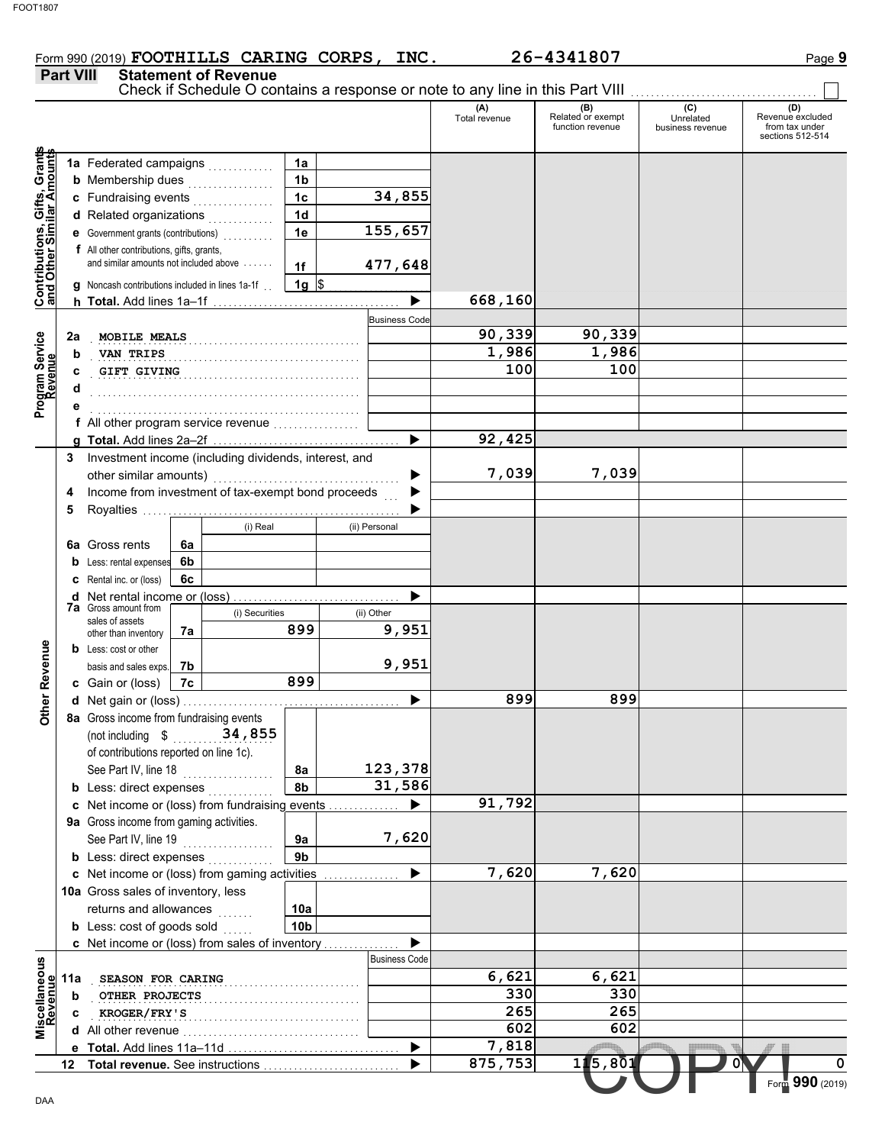#### Form 990 (2019) **FOOTHILLS CARING CORPS, INC.** 26-4341807 Page 9 **FOOTHILLS CARING CORPS, INC. 26-4341807**

|                                                           |                                                                                           |    |                                    |                 |               |                      | (A)           |                                              | (C)                           | (D)                                                    |
|-----------------------------------------------------------|-------------------------------------------------------------------------------------------|----|------------------------------------|-----------------|---------------|----------------------|---------------|----------------------------------------------|-------------------------------|--------------------------------------------------------|
|                                                           |                                                                                           |    |                                    |                 |               |                      | Total revenue | (B)<br>Related or exempt<br>function revenue | Unrelated<br>business revenue | Revenue excluded<br>from tax under<br>sections 512-514 |
| Contributions, Gifts, Grants<br>and Other Similar Amounts | 1a Federated campaigns                                                                    |    |                                    | 1a              |               |                      |               |                                              |                               |                                                        |
|                                                           | <b>b</b> Membership dues                                                                  |    | .                                  | 1 <sub>b</sub>  |               |                      |               |                                              |                               |                                                        |
|                                                           | c Fundraising events                                                                      |    |                                    | 1 <sub>c</sub>  |               | 34,855               |               |                                              |                               |                                                        |
|                                                           | d Related organizations                                                                   |    |                                    |                 |               |                      |               |                                              |                               |                                                        |
|                                                           | e Government grants (contributions)<br>                                                   |    |                                    | 1e              |               | 155,657              |               |                                              |                               |                                                        |
|                                                           | f All other contributions, gifts, grants,                                                 |    |                                    |                 |               |                      |               |                                              |                               |                                                        |
|                                                           | and similar amounts not included above                                                    |    |                                    | 1f              |               | 477,648              |               |                                              |                               |                                                        |
|                                                           | g Noncash contributions included in lines 1a-1f.                                          |    |                                    | $1g \,$ \$      |               |                      |               |                                              |                               |                                                        |
|                                                           |                                                                                           |    |                                    |                 |               |                      | 668,160       |                                              |                               |                                                        |
|                                                           |                                                                                           |    |                                    |                 |               | <b>Business Code</b> | 90,339        | 90,339                                       |                               |                                                        |
| Program Service<br>Revenue<br>2a<br>b                     | MOBILE MEALS<br>VAN TRIPS                                                                 |    |                                    |                 |               |                      | 1,986         | 1,986                                        |                               |                                                        |
| c                                                         | <b>GIFT GIVING</b>                                                                        |    |                                    |                 |               |                      | 100           | 100                                          |                               |                                                        |
| d                                                         |                                                                                           |    |                                    |                 |               |                      |               |                                              |                               |                                                        |
|                                                           |                                                                                           |    |                                    |                 |               |                      |               |                                              |                               |                                                        |
|                                                           | f All other program service revenue                                                       |    |                                    |                 |               |                      |               |                                              |                               |                                                        |
|                                                           |                                                                                           |    |                                    |                 |               | ▶                    | 92,425        |                                              |                               |                                                        |
|                                                           | 3 Investment income (including dividends, interest, and                                   |    |                                    |                 |               |                      |               |                                              |                               |                                                        |
|                                                           |                                                                                           |    |                                    |                 |               |                      | 7,039         | 7,039                                        |                               |                                                        |
| 4                                                         | Income from investment of tax-exempt bond proceeds                                        |    |                                    |                 |               |                      |               |                                              |                               |                                                        |
| 5                                                         |                                                                                           |    |                                    |                 |               |                      |               |                                              |                               |                                                        |
|                                                           |                                                                                           |    | (i) Real                           |                 | (ii) Personal |                      |               |                                              |                               |                                                        |
|                                                           | <b>6a</b> Gross rents                                                                     | 6a |                                    |                 |               |                      |               |                                              |                               |                                                        |
|                                                           | <b>b</b> Less: rental expenses                                                            | 6b |                                    |                 |               |                      |               |                                              |                               |                                                        |
|                                                           | Rental inc. or (loss)<br><b>d</b> Net rental income or (loss)                             | 6c |                                    |                 |               |                      |               |                                              |                               |                                                        |
|                                                           | <b>7a</b> Gross amount from                                                               |    | (i) Securities                     |                 | (ii) Other    |                      |               |                                              |                               |                                                        |
|                                                           | sales of assets<br>other than inventory                                                   | 7a |                                    | 899             |               | $\overline{9}$ , 951 |               |                                              |                               |                                                        |
|                                                           | <b>b</b> Less: cost or other                                                              |    |                                    |                 |               |                      |               |                                              |                               |                                                        |
|                                                           | basis and sales exps.                                                                     | 7b |                                    |                 |               | 9,951                |               |                                              |                               |                                                        |
|                                                           | c Gain or (loss)                                                                          | 7c |                                    | 899             |               |                      |               |                                              |                               |                                                        |
|                                                           |                                                                                           |    |                                    |                 |               |                      | 899           | 899                                          |                               |                                                        |
|                                                           | 8a Gross income from fundraising events                                                   |    |                                    |                 |               |                      |               |                                              |                               |                                                        |
|                                                           | (not including \$                                                                         |    | 34,855                             |                 |               |                      |               |                                              |                               |                                                        |
|                                                           | of contributions reported on line 1c).                                                    |    |                                    |                 |               |                      |               |                                              |                               |                                                        |
|                                                           | See Part IV, line 18                                                                      |    |                                    | 8a              |               | 123,378              |               |                                              |                               |                                                        |
|                                                           | <b>b</b> Less: direct expenses                                                            |    |                                    | 8b              |               | 31,586               |               |                                              |                               |                                                        |
|                                                           | c Net income or (loss) from fundraising events<br>9a Gross income from gaming activities. |    |                                    |                 |               |                      | 91,792        |                                              |                               |                                                        |
|                                                           | See Part IV, line 19                                                                      |    |                                    | 9a              |               | 7,620                |               |                                              |                               |                                                        |
|                                                           | <b>b</b> Less: direct expenses                                                            |    |                                    | 9b              |               |                      |               |                                              |                               |                                                        |
|                                                           | c Net income or (loss) from gaming activities                                             |    |                                    |                 |               |                      | 7,620         | 7,620                                        |                               |                                                        |
|                                                           | 10a Gross sales of inventory, less                                                        |    |                                    |                 |               |                      |               |                                              |                               |                                                        |
|                                                           | returns and allowances                                                                    |    | .                                  | 10a             |               |                      |               |                                              |                               |                                                        |
|                                                           | <b>b</b> Less: cost of goods sold                                                         |    |                                    | 10 <sub>b</sub> |               |                      |               |                                              |                               |                                                        |
|                                                           | c Net income or (loss) from sales of inventory                                            |    |                                    |                 |               |                      |               |                                              |                               |                                                        |
|                                                           |                                                                                           |    |                                    |                 |               | <b>Business Code</b> |               |                                              |                               |                                                        |
| Miscellaneous<br>Revenue<br>11a                           | SEASON FOR CARING                                                                         |    |                                    |                 |               |                      | 6,621         | 6,621                                        |                               |                                                        |
| b                                                         | OTHER PROJECTS                                                                            |    |                                    |                 |               |                      | 330           | 330                                          |                               |                                                        |
|                                                           | KROGER/FRY'S                                                                              |    |                                    |                 |               |                      | 265           | 265                                          |                               |                                                        |
|                                                           |                                                                                           |    |                                    |                 |               |                      | 602           | 602                                          |                               |                                                        |
|                                                           |                                                                                           |    |                                    |                 |               |                      | 7,818         |                                              |                               |                                                        |
|                                                           |                                                                                           |    | 12 Total revenue. See instructions |                 |               |                      | 875,753       | 115,801                                      | 0                             |                                                        |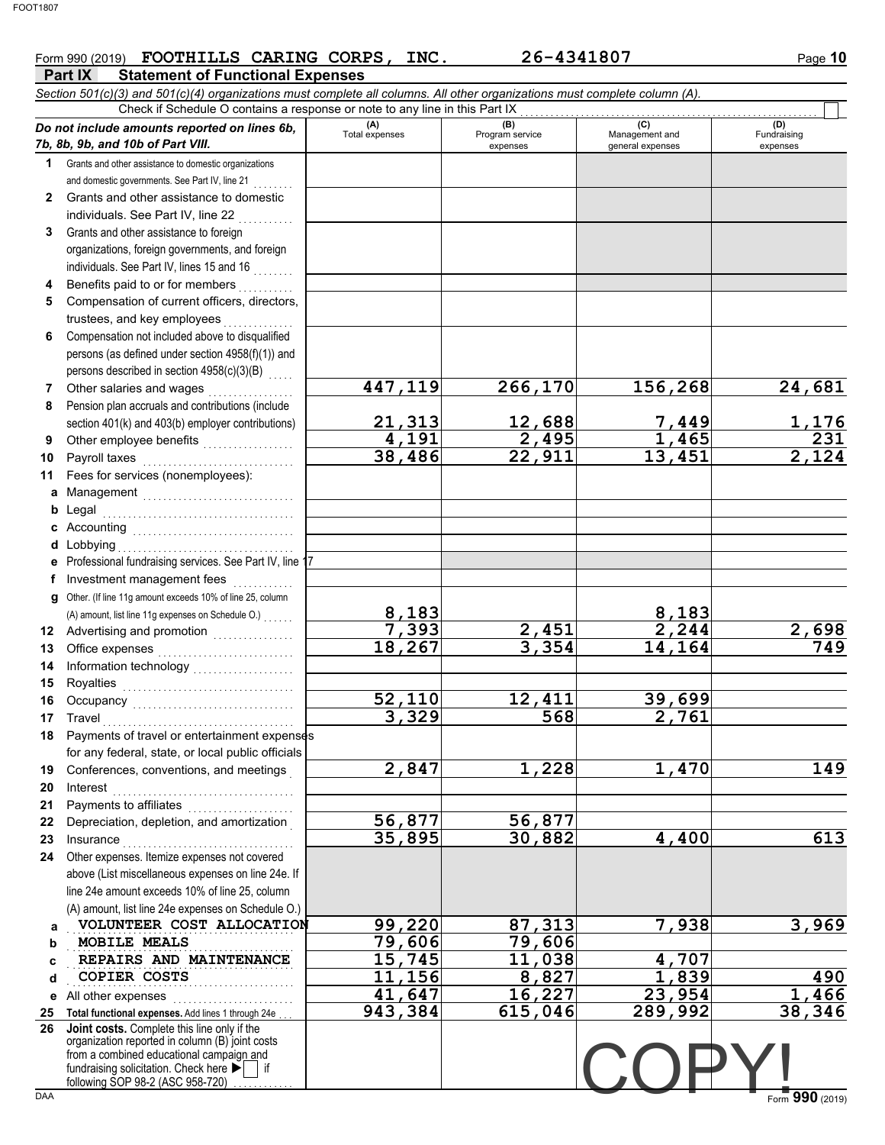## Form 990 (2019) **FOOTHILLS CARING CORPS, INC.** 26-4341807 Page 10

|            | <b>Part IX</b><br><b>Statement of Functional Expenses</b>                                                                                                                                                                        |                        |                                    |                                           |                                |
|------------|----------------------------------------------------------------------------------------------------------------------------------------------------------------------------------------------------------------------------------|------------------------|------------------------------------|-------------------------------------------|--------------------------------|
|            | Section 501(c)(3) and 501(c)(4) organizations must complete all columns. All other organizations must complete column (A).                                                                                                       |                        |                                    |                                           |                                |
|            | Check if Schedule O contains a response or note to any line in this Part IX                                                                                                                                                      |                        |                                    |                                           |                                |
|            | Do not include amounts reported on lines 6b,<br>7b, 8b, 9b, and 10b of Part VIII.                                                                                                                                                | (A)<br>Total expenses  | (B)<br>Program service<br>expenses | (C)<br>Management and<br>general expenses | (D)<br>Fundraising<br>expenses |
| 1.         | Grants and other assistance to domestic organizations                                                                                                                                                                            |                        |                                    |                                           |                                |
|            | and domestic governments. See Part IV, line 21                                                                                                                                                                                   |                        |                                    |                                           |                                |
| 2          | Grants and other assistance to domestic                                                                                                                                                                                          |                        |                                    |                                           |                                |
|            | individuals. See Part IV, line 22                                                                                                                                                                                                |                        |                                    |                                           |                                |
| 3          | Grants and other assistance to foreign                                                                                                                                                                                           |                        |                                    |                                           |                                |
|            | organizations, foreign governments, and foreign                                                                                                                                                                                  |                        |                                    |                                           |                                |
|            | individuals. See Part IV, lines 15 and 16<br>de de decem                                                                                                                                                                         |                        |                                    |                                           |                                |
| 4          | Benefits paid to or for members                                                                                                                                                                                                  |                        |                                    |                                           |                                |
| 5          | Compensation of current officers, directors,                                                                                                                                                                                     |                        |                                    |                                           |                                |
|            | trustees, and key employees                                                                                                                                                                                                      |                        |                                    |                                           |                                |
| 6          | Compensation not included above to disqualified                                                                                                                                                                                  |                        |                                    |                                           |                                |
|            | persons (as defined under section 4958(f)(1)) and                                                                                                                                                                                |                        |                                    |                                           |                                |
|            | persons described in section 4958(c)(3)(B)                                                                                                                                                                                       |                        |                                    |                                           |                                |
| 7          | Other salaries and wages                                                                                                                                                                                                         | 447,119                | 266,170                            | 156,268                                   | 24,681                         |
| 8          | Pension plan accruals and contributions (include                                                                                                                                                                                 |                        |                                    |                                           |                                |
|            | section 401(k) and 403(b) employer contributions)                                                                                                                                                                                | 21,313                 | 12,688                             | 7,449                                     | $\frac{1,176}{231}$            |
| 9          | Other employee benefits                                                                                                                                                                                                          | 4,191                  | 2,495                              | 1,465                                     |                                |
| 10         | Payroll taxes                                                                                                                                                                                                                    | 38,486                 | 22,911                             | 13,451                                    | 2,124                          |
| 11         | Fees for services (nonemployees):                                                                                                                                                                                                |                        |                                    |                                           |                                |
| a          | Management                                                                                                                                                                                                                       |                        |                                    |                                           |                                |
| b          | Legal                                                                                                                                                                                                                            |                        |                                    |                                           |                                |
| c          |                                                                                                                                                                                                                                  |                        |                                    |                                           |                                |
| d          | Lobbying                                                                                                                                                                                                                         |                        |                                    |                                           |                                |
| е          | Professional fundraising services. See Part IV, line 17                                                                                                                                                                          |                        |                                    |                                           |                                |
| f          | Investment management fees                                                                                                                                                                                                       |                        |                                    |                                           |                                |
| g          | Other. (If line 11g amount exceeds 10% of line 25, column                                                                                                                                                                        |                        |                                    |                                           |                                |
|            | (A) amount, list line 11g expenses on Schedule O.)                                                                                                                                                                               | <u>8,183 </u><br>7,393 |                                    | $\frac{8,183}{2,244}$                     |                                |
| 12         | Advertising and promotion<br>                                                                                                                                                                                                    |                        | $\frac{2,451}{3,354}$              |                                           | $\frac{2,698}{749}$            |
| 13         | Office expenses                                                                                                                                                                                                                  | 18,267                 |                                    | $\overline{14,164}$                       |                                |
| 14         | Information technology<br>                                                                                                                                                                                                       |                        |                                    |                                           |                                |
| 15         | Royalties                                                                                                                                                                                                                        |                        |                                    |                                           |                                |
| 16         |                                                                                                                                                                                                                                  | 52,110                 | 12,411                             | 39,699                                    |                                |
|            | 17 Travel                                                                                                                                                                                                                        | 329                    | 568                                | 2,761                                     |                                |
| 18         | Payments of travel or entertainment expenses                                                                                                                                                                                     |                        |                                    |                                           |                                |
|            | for any federal, state, or local public officials                                                                                                                                                                                |                        |                                    |                                           |                                |
| 19         | Conferences, conventions, and meetings                                                                                                                                                                                           | 2,847                  | 1,228                              | 1,470                                     | 149                            |
| 20         | Interest                                                                                                                                                                                                                         |                        |                                    |                                           |                                |
| 21         | Payments to affiliates<br>interactions interactions interactions interactions interactions interactions interactions interactions interactions interactions interactions interactions interactions interactions interactions int | 56,877                 | 56,877                             |                                           |                                |
| 22         | Depreciation, depletion, and amortization                                                                                                                                                                                        | 35,895                 | 30,882                             | 4,400                                     | 613                            |
| 23         | Insurance <i>www.community.community.com</i><br>Other expenses. Itemize expenses not covered                                                                                                                                     |                        |                                    |                                           |                                |
| 24         | above (List miscellaneous expenses on line 24e. If                                                                                                                                                                               |                        |                                    |                                           |                                |
|            | line 24e amount exceeds 10% of line 25, column                                                                                                                                                                                   |                        |                                    |                                           |                                |
|            | (A) amount, list line 24e expenses on Schedule O.)                                                                                                                                                                               |                        |                                    |                                           |                                |
| a          | VOLUNTEER COST ALLOCATION                                                                                                                                                                                                        | 99,220                 | 87,313                             | 7,938                                     | 3,969                          |
| b          | MOBILE MEALS                                                                                                                                                                                                                     | 79,606                 | 79,606                             |                                           |                                |
| C          | REPAIRS AND MAINTENANCE                                                                                                                                                                                                          | 15,745                 | 11,038                             | $\overline{4,707}$                        |                                |
| d          | COPIER COSTS                                                                                                                                                                                                                     | 11,156                 | 8,827                              | 1,839                                     | 490                            |
| е          | All other expenses                                                                                                                                                                                                               | 41,647                 | 16,227                             | 23,954                                    | ,466<br>1                      |
| 25         | Total functional expenses. Add lines 1 through 24e                                                                                                                                                                               | 943,384                | 615,046                            | 289,992                                   | 38,346                         |
| 26         | Joint costs. Complete this line only if the                                                                                                                                                                                      |                        |                                    |                                           |                                |
|            | organization reported in column (B) joint costs                                                                                                                                                                                  |                        |                                    |                                           |                                |
|            | from a combined educational campaign and<br>fundraising solicitation. Check here $\blacktriangleright$ if                                                                                                                        |                        |                                    |                                           |                                |
|            | following SOP 98-2 (ASC 958-720)                                                                                                                                                                                                 |                        |                                    |                                           |                                |
| <b>DAA</b> |                                                                                                                                                                                                                                  |                        |                                    |                                           | Form 990 (2019)                |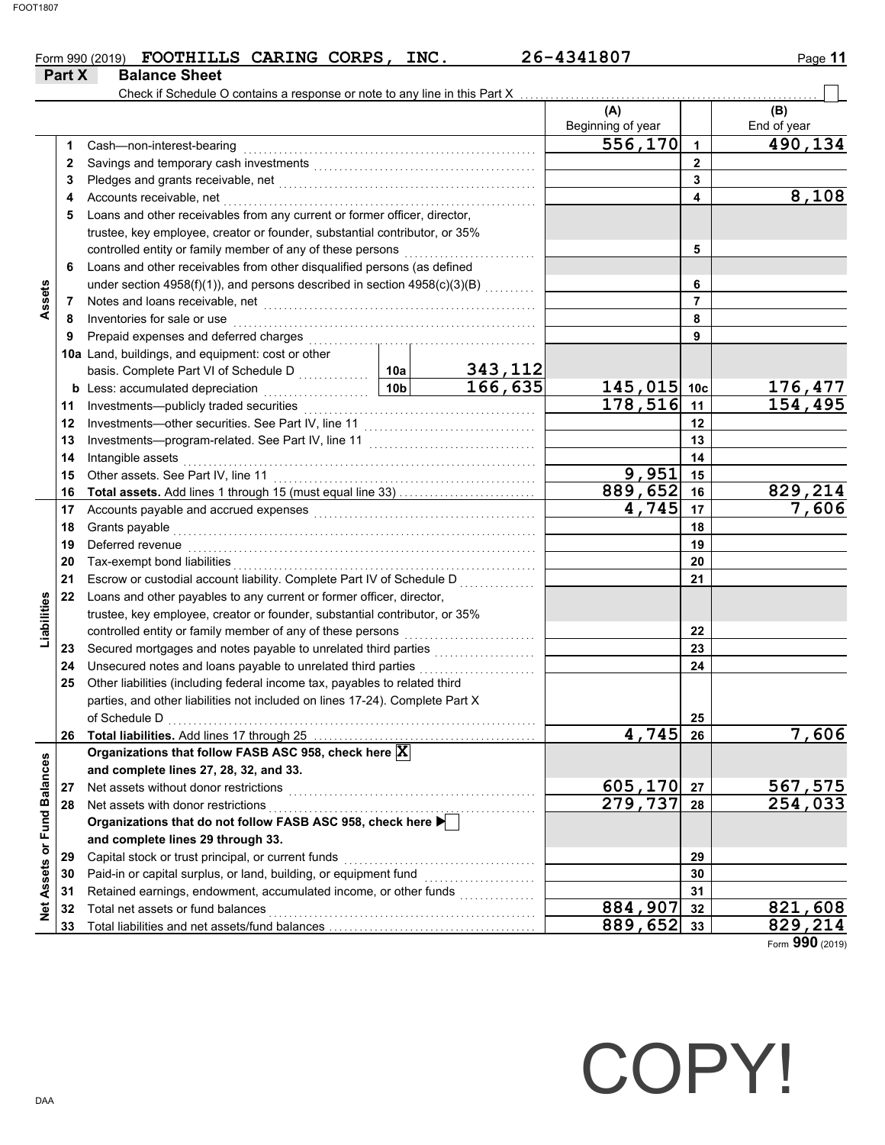|        | Form 990 (2019) FOOTHILLS CARING CORPS, | INC. | 26-4341807 | Page 11 |
|--------|-----------------------------------------|------|------------|---------|
| Part X | <b>Balance Sheet</b>                    |      |            |         |

|                             |    | Check if Schedule O contains a response or note to any line in this Part X                                                                                                                                                          |         |          |                          |                |                    |
|-----------------------------|----|-------------------------------------------------------------------------------------------------------------------------------------------------------------------------------------------------------------------------------------|---------|----------|--------------------------|----------------|--------------------|
|                             |    |                                                                                                                                                                                                                                     |         |          | (A)<br>Beginning of year |                | (B)<br>End of year |
|                             | 1. | Cash-non-interest-bearing                                                                                                                                                                                                           |         |          | 556,170                  | $\mathbf{1}$   | 490,134            |
|                             | 2  |                                                                                                                                                                                                                                     |         |          |                          | $\overline{2}$ |                    |
|                             | 3  |                                                                                                                                                                                                                                     |         | 3        |                          |                |                    |
|                             | 4  | Accounts receivable, net                                                                                                                                                                                                            |         | 4        | 8,108                    |                |                    |
|                             | 5  | Loans and other receivables from any current or former officer, director,                                                                                                                                                           |         |          |                          |                |                    |
|                             |    | trustee, key employee, creator or founder, substantial contributor, or 35%                                                                                                                                                          |         |          |                          |                |                    |
|                             |    |                                                                                                                                                                                                                                     |         | 5        |                          |                |                    |
|                             | 6  | Loans and other receivables from other disqualified persons (as defined                                                                                                                                                             |         |          |                          |                |                    |
|                             |    | under section 4958(f)(1)), and persons described in section 4958(c)(3)(B)                                                                                                                                                           |         | 6        |                          |                |                    |
| Assets                      | 7  | Notes and loans receivable, net <b>construction</b> and construction of the set of the set of the set of the set of the set of the set of the set of the set of the set of the set of the set of the set of the set of the set of t |         |          | $\overline{7}$           |                |                    |
|                             | 8  | Inventories for sale or use                                                                                                                                                                                                         |         |          |                          | 8              |                    |
|                             | 9  |                                                                                                                                                                                                                                     |         |          |                          | 9              |                    |
|                             |    | 10a Land, buildings, and equipment: cost or other                                                                                                                                                                                   |         |          |                          |                |                    |
|                             |    |                                                                                                                                                                                                                                     |         | 343,112  |                          |                |                    |
|                             |    |                                                                                                                                                                                                                                     |         | 166, 635 | $145,015$ 10c            |                | 176,477            |
|                             | 11 | Investments-publicly traded securities                                                                                                                                                                                              |         |          | 178,516                  | 11             | 154,495            |
|                             | 12 |                                                                                                                                                                                                                                     |         |          |                          | 12             |                    |
|                             | 13 |                                                                                                                                                                                                                                     |         |          |                          | 13             |                    |
|                             | 14 | Intangible assets                                                                                                                                                                                                                   |         |          |                          | 14             |                    |
|                             | 15 |                                                                                                                                                                                                                                     |         | 9,951    | 15                       |                |                    |
|                             | 16 | Total assets. Add lines 1 through 15 (must equal line 33)                                                                                                                                                                           |         |          | 889,652                  | 16             | 829,214            |
|                             | 17 |                                                                                                                                                                                                                                     |         |          | 4,745                    | 17             | 7,606              |
|                             | 18 |                                                                                                                                                                                                                                     |         | 18       |                          |                |                    |
|                             | 19 | Deferred revenue <b>construction and the construction of the construction of the construction</b>                                                                                                                                   |         | 19       |                          |                |                    |
|                             | 20 |                                                                                                                                                                                                                                     |         | 20       |                          |                |                    |
|                             | 21 | Escrow or custodial account liability. Complete Part IV of Schedule D                                                                                                                                                               |         | 21       |                          |                |                    |
|                             | 22 | Loans and other payables to any current or former officer, director,                                                                                                                                                                |         |          |                          |                |                    |
| Liabilities                 |    | trustee, key employee, creator or founder, substantial contributor, or 35%                                                                                                                                                          |         |          |                          |                |                    |
|                             |    | controlled entity or family member of any of these persons                                                                                                                                                                          |         | 22       |                          |                |                    |
|                             | 23 | Secured mortgages and notes payable to unrelated third parties                                                                                                                                                                      |         | 23       |                          |                |                    |
|                             | 24 | Unsecured notes and loans payable to unrelated third parties                                                                                                                                                                        |         | 24       |                          |                |                    |
|                             | 25 | Other liabilities (including federal income tax, payables to related third                                                                                                                                                          |         |          |                          |                |                    |
|                             |    | parties, and other liabilities not included on lines 17-24). Complete Part X                                                                                                                                                        |         |          |                          |                |                    |
|                             |    |                                                                                                                                                                                                                                     |         |          | 25                       |                |                    |
|                             | 26 | Total liabilities. Add lines 17 through 25                                                                                                                                                                                          |         |          | 4,745                    | 26             | <u>7,606</u>       |
|                             |    | Organizations that follow FASB ASC 958, check here X                                                                                                                                                                                |         |          |                          |                |                    |
|                             |    | and complete lines 27, 28, 32, and 33.                                                                                                                                                                                              |         |          |                          |                |                    |
|                             | 27 | Net assets without donor restrictions                                                                                                                                                                                               |         |          | 605,170                  | 27             | 567,575            |
|                             | 28 | Net assets with donor restrictions                                                                                                                                                                                                  |         |          | 279,737                  | 28             | 254,033            |
|                             |    | Organizations that do not follow FASB ASC 958, check here                                                                                                                                                                           |         |          |                          |                |                    |
|                             |    | and complete lines 29 through 33.                                                                                                                                                                                                   |         |          |                          |                |                    |
|                             | 29 | Capital stock or trust principal, or current funds                                                                                                                                                                                  |         | 29       |                          |                |                    |
|                             | 30 | Paid-in or capital surplus, or land, building, or equipment fund                                                                                                                                                                    |         |          | 30                       |                |                    |
| Net Assets or Fund Balances | 31 | Retained earnings, endowment, accumulated income, or other funds                                                                                                                                                                    |         |          |                          | 31             |                    |
|                             | 32 | Total net assets or fund balances                                                                                                                                                                                                   | 884,907 | 32       | 821,608                  |                |                    |
|                             | 33 |                                                                                                                                                                                                                                     | 889,652 | 33       | 829,214                  |                |                    |

Form **990** (2019)